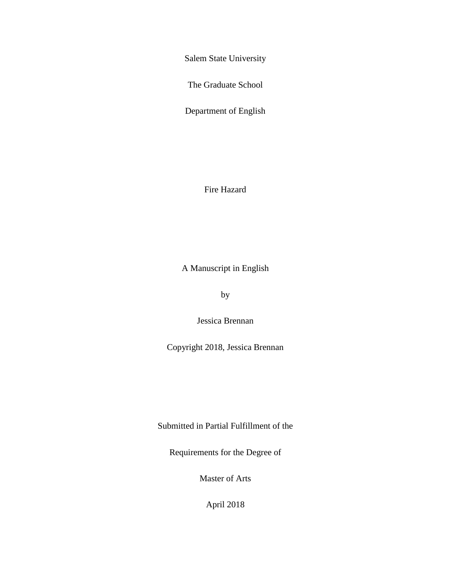Salem State University

The Graduate School

Department of English

Fire Hazard

A Manuscript in English

by

Jessica Brennan

Copyright 2018, Jessica Brennan

Submitted in Partial Fulfillment of the

Requirements for the Degree of

Master of Arts

April 2018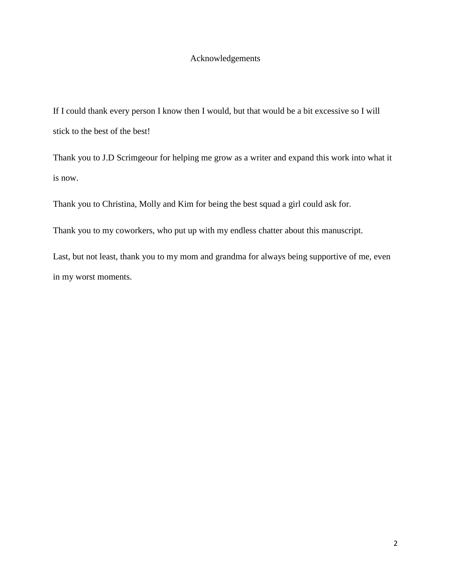## Acknowledgements

If I could thank every person I know then I would, but that would be a bit excessive so I will stick to the best of the best!

Thank you to J.D Scrimgeour for helping me grow as a writer and expand this work into what it is now.

Thank you to Christina, Molly and Kim for being the best squad a girl could ask for.

Thank you to my coworkers, who put up with my endless chatter about this manuscript.

Last, but not least, thank you to my mom and grandma for always being supportive of me, even in my worst moments.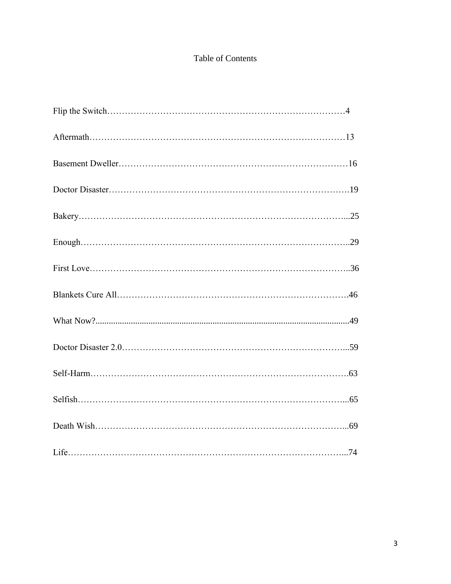# Table of Contents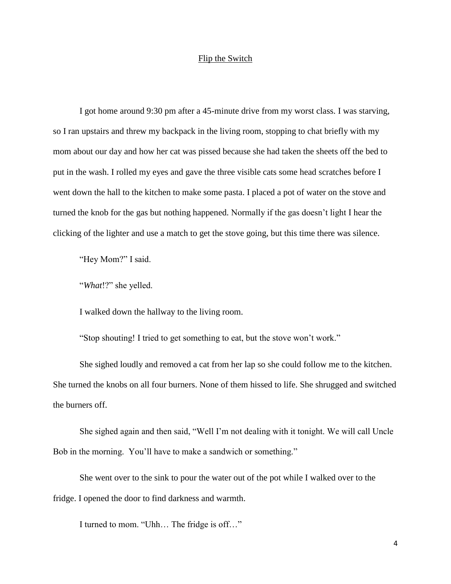## Flip the Switch

 I got home around 9:30 pm after a 45-minute drive from my worst class. I was starving, so I ran upstairs and threw my backpack in the living room, stopping to chat briefly with my mom about our day and how her cat was pissed because she had taken the sheets off the bed to put in the wash. I rolled my eyes and gave the three visible cats some head scratches before I went down the hall to the kitchen to make some pasta. I placed a pot of water on the stove and turned the knob for the gas but nothing happened. Normally if the gas doesn't light I hear the clicking of the lighter and use a match to get the stove going, but this time there was silence.

"Hey Mom?" I said.

"*What*!?" she yelled.

I walked down the hallway to the living room.

"Stop shouting! I tried to get something to eat, but the stove won't work."

She sighed loudly and removed a cat from her lap so she could follow me to the kitchen. She turned the knobs on all four burners. None of them hissed to life. She shrugged and switched the burners off.

She sighed again and then said, "Well I'm not dealing with it tonight. We will call Uncle Bob in the morning. You'll have to make a sandwich or something."

She went over to the sink to pour the water out of the pot while I walked over to the fridge. I opened the door to find darkness and warmth.

I turned to mom. "Uhh… The fridge is off…"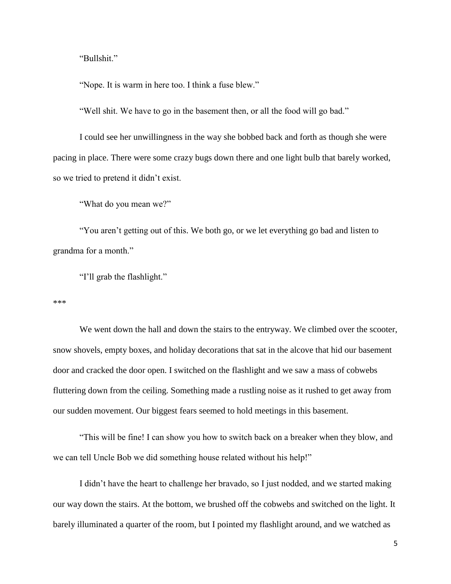"Bullshit."

"Nope. It is warm in here too. I think a fuse blew."

"Well shit. We have to go in the basement then, or all the food will go bad."

I could see her unwillingness in the way she bobbed back and forth as though she were pacing in place. There were some crazy bugs down there and one light bulb that barely worked, so we tried to pretend it didn't exist.

"What do you mean we?"

"You aren't getting out of this. We both go, or we let everything go bad and listen to grandma for a month."

"I'll grab the flashlight."

\*\*\*

We went down the hall and down the stairs to the entryway. We climbed over the scooter, snow shovels, empty boxes, and holiday decorations that sat in the alcove that hid our basement door and cracked the door open. I switched on the flashlight and we saw a mass of cobwebs fluttering down from the ceiling. Something made a rustling noise as it rushed to get away from our sudden movement. Our biggest fears seemed to hold meetings in this basement.

"This will be fine! I can show you how to switch back on a breaker when they blow, and we can tell Uncle Bob we did something house related without his help!"

I didn't have the heart to challenge her bravado, so I just nodded, and we started making our way down the stairs. At the bottom, we brushed off the cobwebs and switched on the light. It barely illuminated a quarter of the room, but I pointed my flashlight around, and we watched as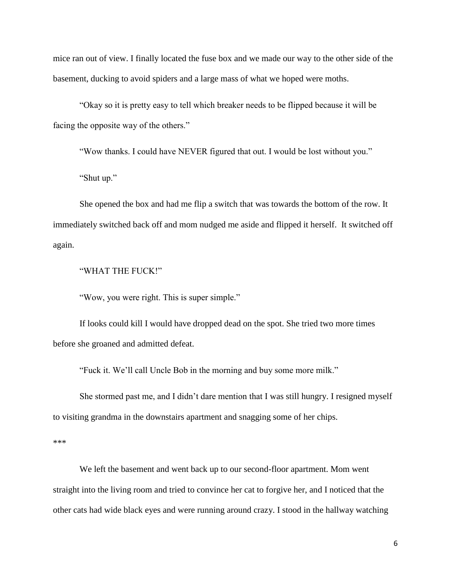mice ran out of view. I finally located the fuse box and we made our way to the other side of the basement, ducking to avoid spiders and a large mass of what we hoped were moths.

"Okay so it is pretty easy to tell which breaker needs to be flipped because it will be facing the opposite way of the others."

"Wow thanks. I could have NEVER figured that out. I would be lost without you."

"Shut up."

She opened the box and had me flip a switch that was towards the bottom of the row. It immediately switched back off and mom nudged me aside and flipped it herself. It switched off again.

#### "WHAT THE FUCK!"

"Wow, you were right. This is super simple."

If looks could kill I would have dropped dead on the spot. She tried two more times before she groaned and admitted defeat.

"Fuck it. We'll call Uncle Bob in the morning and buy some more milk."

She stormed past me, and I didn't dare mention that I was still hungry. I resigned myself to visiting grandma in the downstairs apartment and snagging some of her chips.

\*\*\*

We left the basement and went back up to our second-floor apartment. Mom went straight into the living room and tried to convince her cat to forgive her, and I noticed that the other cats had wide black eyes and were running around crazy. I stood in the hallway watching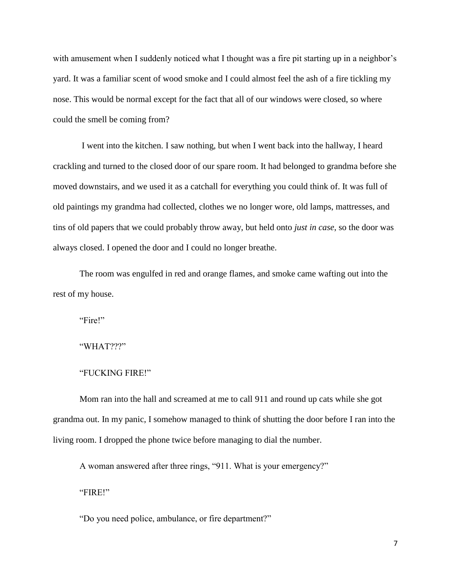with amusement when I suddenly noticed what I thought was a fire pit starting up in a neighbor's yard. It was a familiar scent of wood smoke and I could almost feel the ash of a fire tickling my nose. This would be normal except for the fact that all of our windows were closed, so where could the smell be coming from?

I went into the kitchen. I saw nothing, but when I went back into the hallway, I heard crackling and turned to the closed door of our spare room. It had belonged to grandma before she moved downstairs, and we used it as a catchall for everything you could think of. It was full of old paintings my grandma had collected, clothes we no longer wore, old lamps, mattresses, and tins of old papers that we could probably throw away, but held onto *just in case*, so the door was always closed. I opened the door and I could no longer breathe.

The room was engulfed in red and orange flames, and smoke came wafting out into the rest of my house.

"Fire!"

"WHAT???"

#### "FUCKING FIRE!"

Mom ran into the hall and screamed at me to call 911 and round up cats while she got grandma out. In my panic, I somehow managed to think of shutting the door before I ran into the living room. I dropped the phone twice before managing to dial the number.

A woman answered after three rings, "911. What is your emergency?"

"FIRE!"

"Do you need police, ambulance, or fire department?"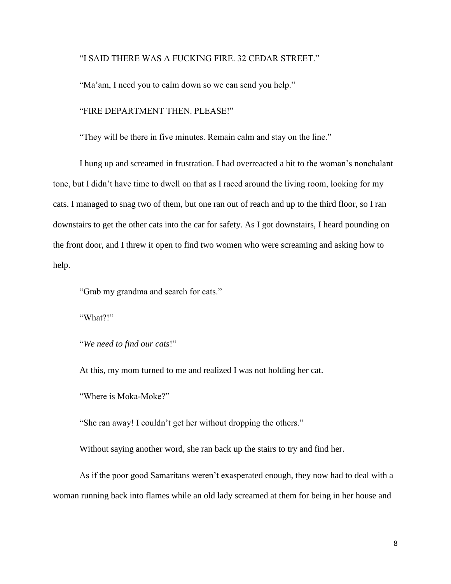"I SAID THERE WAS A FUCKING FIRE. 32 CEDAR STREET."

"Ma'am, I need you to calm down so we can send you help."

"FIRE DEPARTMENT THEN. PLEASE!"

"They will be there in five minutes. Remain calm and stay on the line."

I hung up and screamed in frustration. I had overreacted a bit to the woman's nonchalant tone, but I didn't have time to dwell on that as I raced around the living room, looking for my cats. I managed to snag two of them, but one ran out of reach and up to the third floor, so I ran downstairs to get the other cats into the car for safety. As I got downstairs, I heard pounding on the front door, and I threw it open to find two women who were screaming and asking how to help.

"Grab my grandma and search for cats."

"What?!"

"*We need to find our cats*!"

At this, my mom turned to me and realized I was not holding her cat.

"Where is Moka-Moke?"

"She ran away! I couldn't get her without dropping the others."

Without saying another word, she ran back up the stairs to try and find her.

As if the poor good Samaritans weren't exasperated enough, they now had to deal with a woman running back into flames while an old lady screamed at them for being in her house and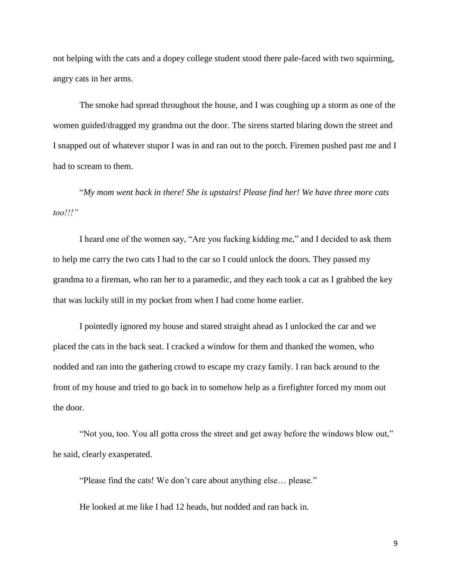not helping with the cats and a dopey college student stood there pale-faced with two squirming, angry cats in her arms.

The smoke had spread throughout the house, and I was coughing up a storm as one of the women guided/dragged my grandma out the door. The sirens started blaring down the street and I snapped out of whatever stupor I was in and ran out to the porch. Firemen pushed past me and I had to scream to them.

"*My mom went back in there! She is upstairs! Please find her! We have three more cats too!!!"*

I heard one of the women say, "Are you fucking kidding me," and I decided to ask them to help me carry the two cats I had to the car so I could unlock the doors. They passed my grandma to a fireman, who ran her to a paramedic, and they each took a cat as I grabbed the key that was luckily still in my pocket from when I had come home earlier.

I pointedly ignored my house and stared straight ahead as I unlocked the car and we placed the cats in the back seat. I cracked a window for them and thanked the women, who nodded and ran into the gathering crowd to escape my crazy family. I ran back around to the front of my house and tried to go back in to somehow help as a firefighter forced my mom out the door.

"Not you, too. You all gotta cross the street and get away before the windows blow out," he said, clearly exasperated.

"Please find the cats! We don't care about anything else… please."

He looked at me like I had 12 heads, but nodded and ran back in.

9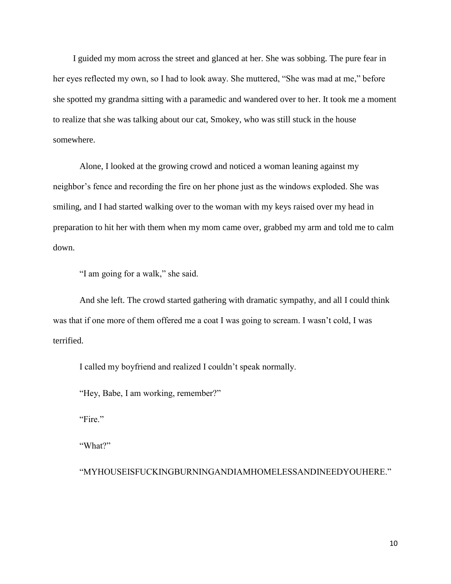I guided my mom across the street and glanced at her. She was sobbing. The pure fear in her eyes reflected my own, so I had to look away. She muttered, "She was mad at me," before she spotted my grandma sitting with a paramedic and wandered over to her. It took me a moment to realize that she was talking about our cat, Smokey, who was still stuck in the house somewhere.

Alone, I looked at the growing crowd and noticed a woman leaning against my neighbor's fence and recording the fire on her phone just as the windows exploded. She was smiling, and I had started walking over to the woman with my keys raised over my head in preparation to hit her with them when my mom came over, grabbed my arm and told me to calm down.

"I am going for a walk," she said.

And she left. The crowd started gathering with dramatic sympathy, and all I could think was that if one more of them offered me a coat I was going to scream. I wasn't cold, I was terrified.

I called my boyfriend and realized I couldn't speak normally.

"Hey, Babe, I am working, remember?"

"Fire."

"What?"

"MYHOUSEISFUCKINGBURNINGANDIAMHOMELESSANDINEEDYOUHERE."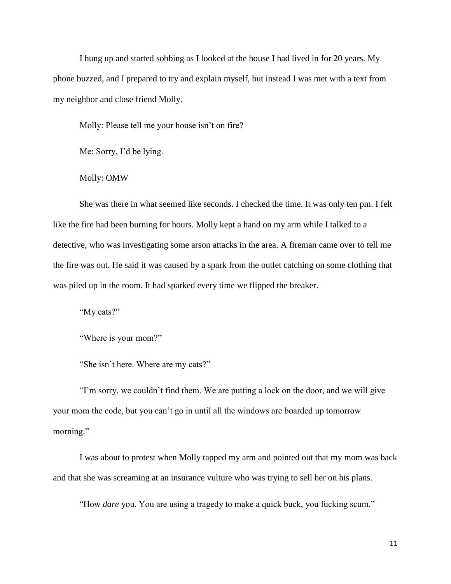I hung up and started sobbing as I looked at the house I had lived in for 20 years. My phone buzzed, and I prepared to try and explain myself, but instead I was met with a text from my neighbor and close friend Molly.

Molly: Please tell me your house isn't on fire?

Me: Sorry, I'd be lying.

## Molly: OMW

She was there in what seemed like seconds. I checked the time. It was only ten pm. I felt like the fire had been burning for hours. Molly kept a hand on my arm while I talked to a detective, who was investigating some arson attacks in the area. A fireman came over to tell me the fire was out. He said it was caused by a spark from the outlet catching on some clothing that was piled up in the room. It had sparked every time we flipped the breaker.

"My cats?"

"Where is your mom?"

"She isn't here. Where are my cats?"

"I'm sorry, we couldn't find them. We are putting a lock on the door, and we will give your mom the code, but you can't go in until all the windows are boarded up tomorrow morning."

I was about to protest when Molly tapped my arm and pointed out that my mom was back and that she was screaming at an insurance vulture who was trying to sell her on his plans.

"How *dare* you. You are using a tragedy to make a quick buck, you fucking scum."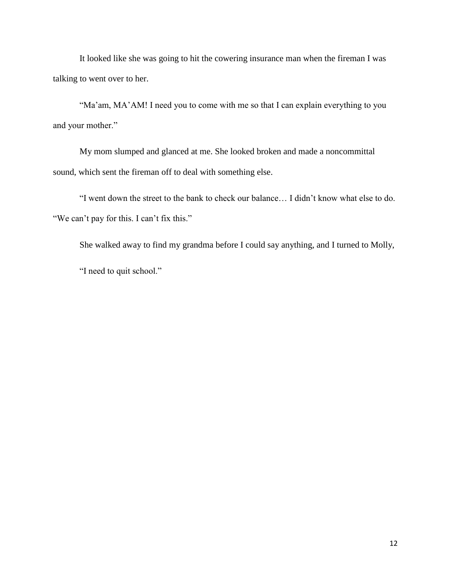It looked like she was going to hit the cowering insurance man when the fireman I was talking to went over to her.

"Ma'am, MA'AM! I need you to come with me so that I can explain everything to you and your mother."

My mom slumped and glanced at me. She looked broken and made a noncommittal sound, which sent the fireman off to deal with something else.

"I went down the street to the bank to check our balance… I didn't know what else to do. "We can't pay for this. I can't fix this."

She walked away to find my grandma before I could say anything, and I turned to Molly,

"I need to quit school."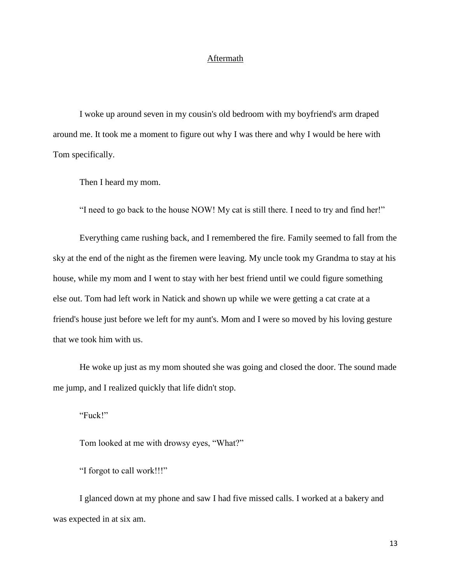## Aftermath

I woke up around seven in my cousin's old bedroom with my boyfriend's arm draped around me. It took me a moment to figure out why I was there and why I would be here with Tom specifically.

Then I heard my mom.

"I need to go back to the house NOW! My cat is still there. I need to try and find her!"

Everything came rushing back, and I remembered the fire. Family seemed to fall from the sky at the end of the night as the firemen were leaving. My uncle took my Grandma to stay at his house, while my mom and I went to stay with her best friend until we could figure something else out. Tom had left work in Natick and shown up while we were getting a cat crate at a friend's house just before we left for my aunt's. Mom and I were so moved by his loving gesture that we took him with us.

He woke up just as my mom shouted she was going and closed the door. The sound made me jump, and I realized quickly that life didn't stop.

"Fuck!"

Tom looked at me with drowsy eyes, "What?"

"I forgot to call work!!!"

I glanced down at my phone and saw I had five missed calls. I worked at a bakery and was expected in at six am.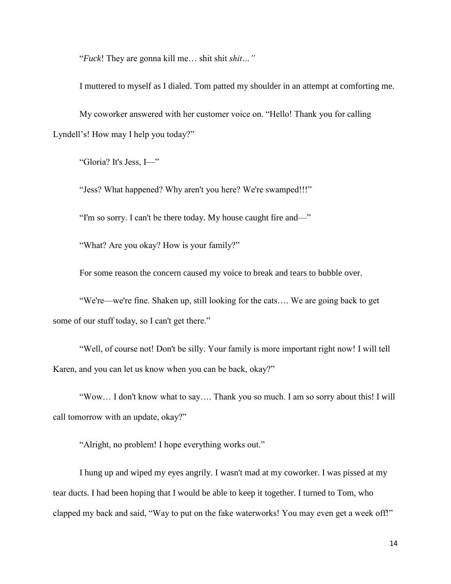"*Fuck*! They are gonna kill me… shit shit *shit…"* 

I muttered to myself as I dialed. Tom patted my shoulder in an attempt at comforting me.

My coworker answered with her customer voice on. "Hello! Thank you for calling Lyndell's! How may I help you today?"

"Gloria? It's Jess, I—"

"Jess? What happened? Why aren't you here? We're swamped!!!"

"I'm so sorry. I can't be there today. My house caught fire and—"

"What? Are you okay? How is your family?"

For some reason the concern caused my voice to break and tears to bubble over.

"We're—we're fine. Shaken up, still looking for the cats…. We are going back to get some of our stuff today, so I can't get there."

"Well, of course not! Don't be silly. Your family is more important right now! I will tell Karen, and you can let us know when you can be back, okay?"

"Wow… I don't know what to say…. Thank you so much. I am so sorry about this! I will call tomorrow with an update, okay?"

"Alright, no problem! I hope everything works out."

I hung up and wiped my eyes angrily. I wasn't mad at my coworker. I was pissed at my tear ducts. I had been hoping that I would be able to keep it together. I turned to Tom, who clapped my back and said, "Way to put on the fake waterworks! You may even get a week off!"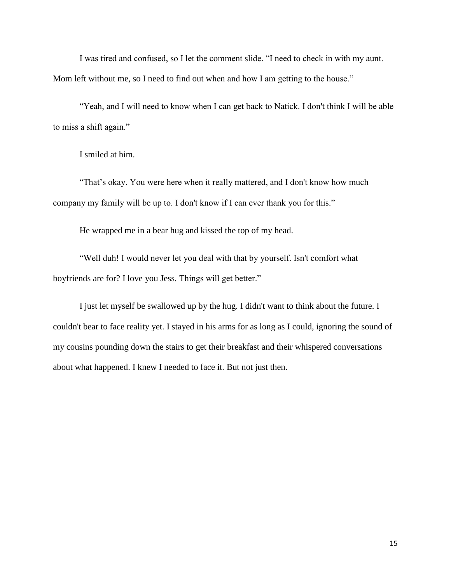I was tired and confused, so I let the comment slide. "I need to check in with my aunt. Mom left without me, so I need to find out when and how I am getting to the house."

"Yeah, and I will need to know when I can get back to Natick. I don't think I will be able to miss a shift again."

I smiled at him.

"That's okay. You were here when it really mattered, and I don't know how much company my family will be up to. I don't know if I can ever thank you for this."

He wrapped me in a bear hug and kissed the top of my head.

"Well duh! I would never let you deal with that by yourself. Isn't comfort what boyfriends are for? I love you Jess. Things will get better."

I just let myself be swallowed up by the hug. I didn't want to think about the future. I couldn't bear to face reality yet. I stayed in his arms for as long as I could, ignoring the sound of my cousins pounding down the stairs to get their breakfast and their whispered conversations about what happened. I knew I needed to face it. But not just then.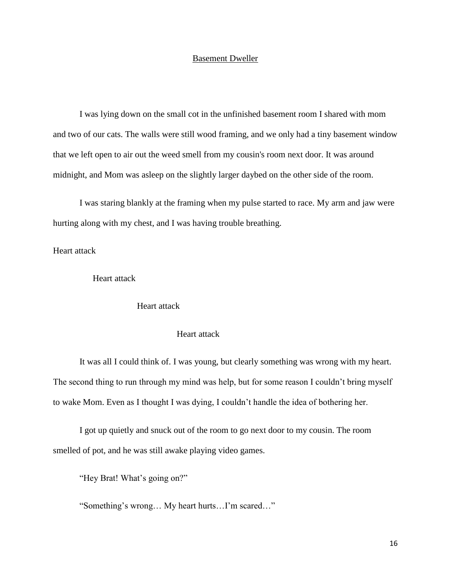## Basement Dweller

I was lying down on the small cot in the unfinished basement room I shared with mom and two of our cats. The walls were still wood framing, and we only had a tiny basement window that we left open to air out the weed smell from my cousin's room next door. It was around midnight, and Mom was asleep on the slightly larger daybed on the other side of the room.

I was staring blankly at the framing when my pulse started to race. My arm and jaw were hurting along with my chest, and I was having trouble breathing.

Heart attack

Heart attack

Heart attack

Heart attack

It was all I could think of. I was young, but clearly something was wrong with my heart. The second thing to run through my mind was help, but for some reason I couldn't bring myself to wake Mom. Even as I thought I was dying, I couldn't handle the idea of bothering her.

I got up quietly and snuck out of the room to go next door to my cousin. The room smelled of pot, and he was still awake playing video games.

"Hey Brat! What's going on?"

"Something's wrong… My heart hurts…I'm scared…"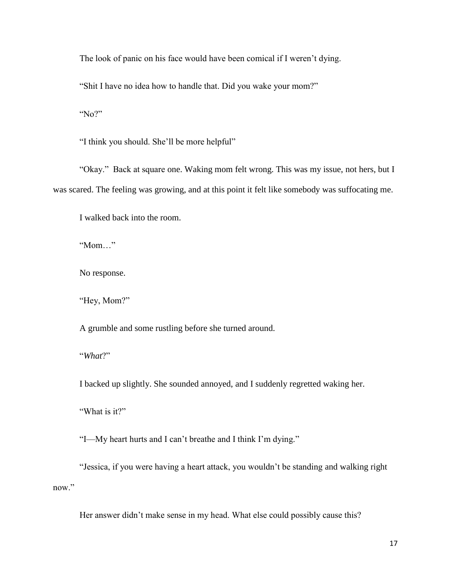The look of panic on his face would have been comical if I weren't dying.

"Shit I have no idea how to handle that. Did you wake your mom?"

"No?"

"I think you should. She'll be more helpful"

"Okay." Back at square one. Waking mom felt wrong. This was my issue, not hers, but I was scared. The feeling was growing, and at this point it felt like somebody was suffocating me.

I walked back into the room.

"Mom…"

No response.

"Hey, Mom?"

A grumble and some rustling before she turned around.

"*What*?"

I backed up slightly. She sounded annoyed, and I suddenly regretted waking her.

"What is it?"

"I—My heart hurts and I can't breathe and I think I'm dying."

"Jessica, if you were having a heart attack, you wouldn't be standing and walking right now."

Her answer didn't make sense in my head. What else could possibly cause this?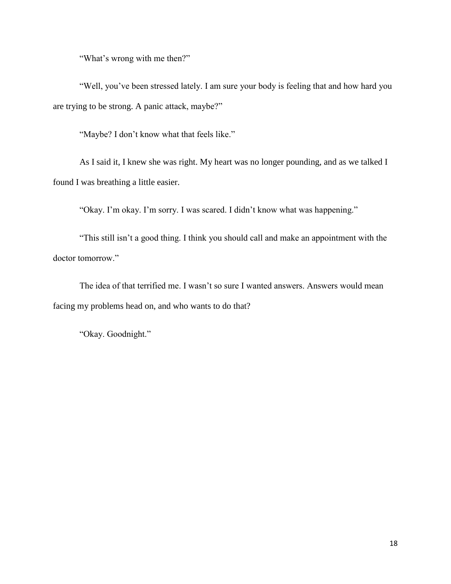"What's wrong with me then?"

"Well, you've been stressed lately. I am sure your body is feeling that and how hard you are trying to be strong. A panic attack, maybe?"

"Maybe? I don't know what that feels like."

As I said it, I knew she was right. My heart was no longer pounding, and as we talked I found I was breathing a little easier.

"Okay. I'm okay. I'm sorry. I was scared. I didn't know what was happening."

"This still isn't a good thing. I think you should call and make an appointment with the doctor tomorrow."

The idea of that terrified me. I wasn't so sure I wanted answers. Answers would mean facing my problems head on, and who wants to do that?

"Okay. Goodnight."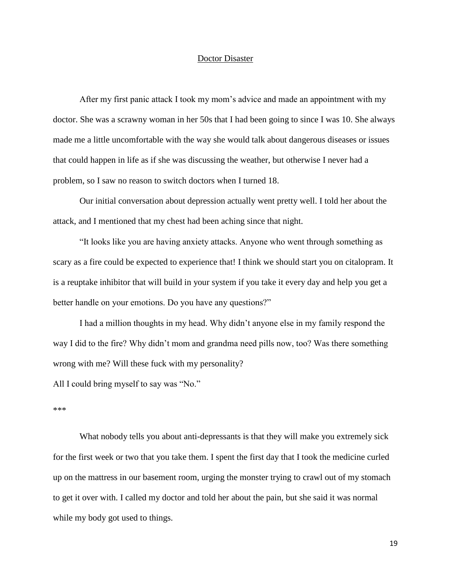### Doctor Disaster

After my first panic attack I took my mom's advice and made an appointment with my doctor. She was a scrawny woman in her 50s that I had been going to since I was 10. She always made me a little uncomfortable with the way she would talk about dangerous diseases or issues that could happen in life as if she was discussing the weather, but otherwise I never had a problem, so I saw no reason to switch doctors when I turned 18.

Our initial conversation about depression actually went pretty well. I told her about the attack, and I mentioned that my chest had been aching since that night.

"It looks like you are having anxiety attacks. Anyone who went through something as scary as a fire could be expected to experience that! I think we should start you on citalopram. It is a reuptake inhibitor that will build in your system if you take it every day and help you get a better handle on your emotions. Do you have any questions?"

I had a million thoughts in my head. Why didn't anyone else in my family respond the way I did to the fire? Why didn't mom and grandma need pills now, too? Was there something wrong with me? Will these fuck with my personality?

All I could bring myself to say was "No."

#### \*\*\*

What nobody tells you about anti-depressants is that they will make you extremely sick for the first week or two that you take them. I spent the first day that I took the medicine curled up on the mattress in our basement room, urging the monster trying to crawl out of my stomach to get it over with. I called my doctor and told her about the pain, but she said it was normal while my body got used to things.

19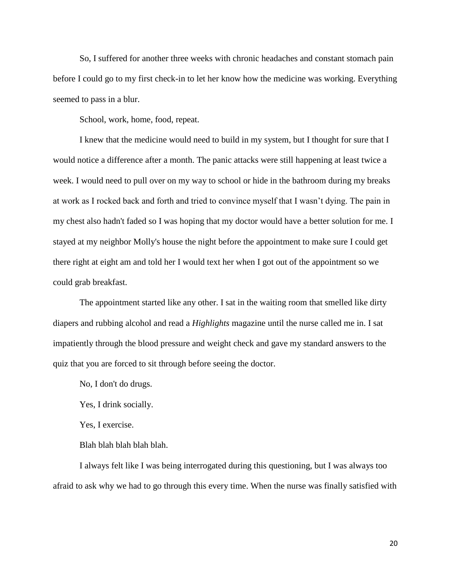So, I suffered for another three weeks with chronic headaches and constant stomach pain before I could go to my first check-in to let her know how the medicine was working. Everything seemed to pass in a blur.

School, work, home, food, repeat.

I knew that the medicine would need to build in my system, but I thought for sure that I would notice a difference after a month. The panic attacks were still happening at least twice a week. I would need to pull over on my way to school or hide in the bathroom during my breaks at work as I rocked back and forth and tried to convince myself that I wasn't dying. The pain in my chest also hadn't faded so I was hoping that my doctor would have a better solution for me. I stayed at my neighbor Molly's house the night before the appointment to make sure I could get there right at eight am and told her I would text her when I got out of the appointment so we could grab breakfast.

The appointment started like any other. I sat in the waiting room that smelled like dirty diapers and rubbing alcohol and read a *Highlights* magazine until the nurse called me in. I sat impatiently through the blood pressure and weight check and gave my standard answers to the quiz that you are forced to sit through before seeing the doctor.

No, I don't do drugs.

Yes, I drink socially.

Yes, I exercise.

Blah blah blah blah blah.

I always felt like I was being interrogated during this questioning, but I was always too afraid to ask why we had to go through this every time. When the nurse was finally satisfied with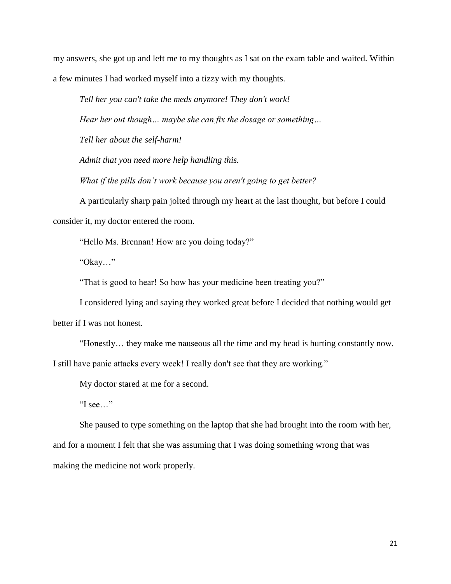my answers, she got up and left me to my thoughts as I sat on the exam table and waited. Within a few minutes I had worked myself into a tizzy with my thoughts.

*Tell her you can't take the meds anymore! They don't work!*

*Hear her out though… maybe she can fix the dosage or something…*

*Tell her about the self-harm!*

*Admit that you need more help handling this.*

*What if the pills don't work because you aren't going to get better?*

A particularly sharp pain jolted through my heart at the last thought, but before I could consider it, my doctor entered the room.

"Hello Ms. Brennan! How are you doing today?"

"Okay…"

"That is good to hear! So how has your medicine been treating you?"

I considered lying and saying they worked great before I decided that nothing would get better if I was not honest.

"Honestly… they make me nauseous all the time and my head is hurting constantly now.

I still have panic attacks every week! I really don't see that they are working."

My doctor stared at me for a second.

"I see…"

She paused to type something on the laptop that she had brought into the room with her, and for a moment I felt that she was assuming that I was doing something wrong that was making the medicine not work properly.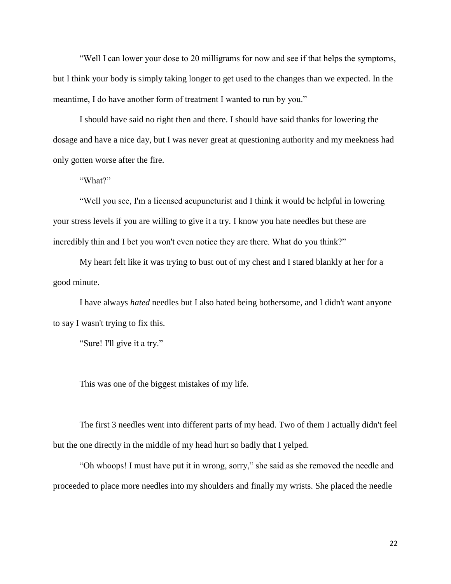"Well I can lower your dose to 20 milligrams for now and see if that helps the symptoms, but I think your body is simply taking longer to get used to the changes than we expected. In the meantime, I do have another form of treatment I wanted to run by you."

I should have said no right then and there. I should have said thanks for lowering the dosage and have a nice day, but I was never great at questioning authority and my meekness had only gotten worse after the fire.

"What?"

"Well you see, I'm a licensed acupuncturist and I think it would be helpful in lowering your stress levels if you are willing to give it a try. I know you hate needles but these are incredibly thin and I bet you won't even notice they are there. What do you think?"

My heart felt like it was trying to bust out of my chest and I stared blankly at her for a good minute.

I have always *hated* needles but I also hated being bothersome, and I didn't want anyone to say I wasn't trying to fix this.

"Sure! I'll give it a try."

This was one of the biggest mistakes of my life.

The first 3 needles went into different parts of my head. Two of them I actually didn't feel but the one directly in the middle of my head hurt so badly that I yelped.

"Oh whoops! I must have put it in wrong, sorry," she said as she removed the needle and proceeded to place more needles into my shoulders and finally my wrists. She placed the needle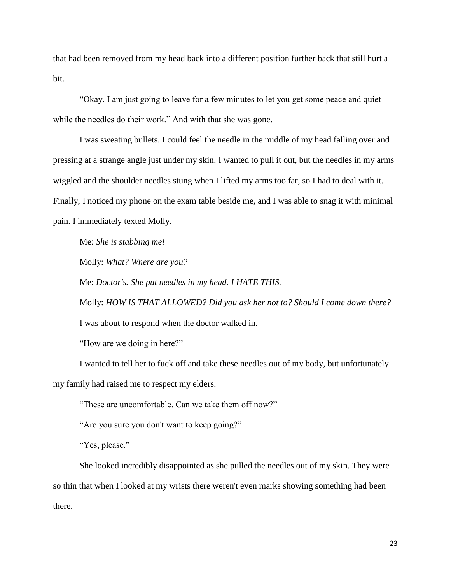that had been removed from my head back into a different position further back that still hurt a bit.

"Okay. I am just going to leave for a few minutes to let you get some peace and quiet while the needles do their work." And with that she was gone.

I was sweating bullets. I could feel the needle in the middle of my head falling over and pressing at a strange angle just under my skin. I wanted to pull it out, but the needles in my arms wiggled and the shoulder needles stung when I lifted my arms too far, so I had to deal with it. Finally, I noticed my phone on the exam table beside me, and I was able to snag it with minimal pain. I immediately texted Molly.

Me: *She is stabbing me!*

Molly: *What? Where are you?*

Me: *Doctor's. She put needles in my head. I HATE THIS.* 

Molly: *HOW IS THAT ALLOWED? Did you ask her not to? Should I come down there?* I was about to respond when the doctor walked in.

"How are we doing in here?"

I wanted to tell her to fuck off and take these needles out of my body, but unfortunately my family had raised me to respect my elders.

"These are uncomfortable. Can we take them off now?"

"Are you sure you don't want to keep going?"

"Yes, please."

She looked incredibly disappointed as she pulled the needles out of my skin. They were so thin that when I looked at my wrists there weren't even marks showing something had been there.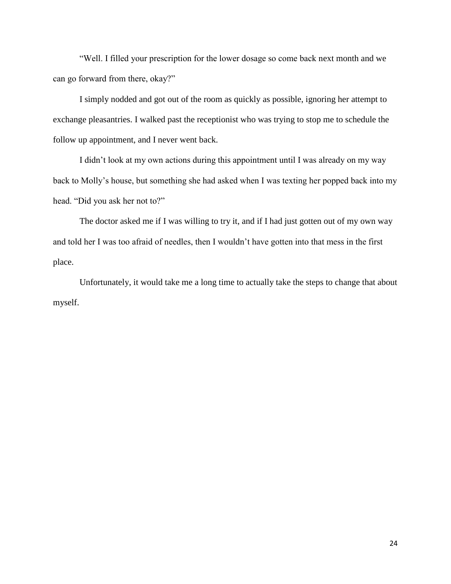"Well. I filled your prescription for the lower dosage so come back next month and we can go forward from there, okay?"

I simply nodded and got out of the room as quickly as possible, ignoring her attempt to exchange pleasantries. I walked past the receptionist who was trying to stop me to schedule the follow up appointment, and I never went back.

I didn't look at my own actions during this appointment until I was already on my way back to Molly's house, but something she had asked when I was texting her popped back into my head. "Did you ask her not to?"

The doctor asked me if I was willing to try it, and if I had just gotten out of my own way and told her I was too afraid of needles, then I wouldn't have gotten into that mess in the first place.

Unfortunately, it would take me a long time to actually take the steps to change that about myself.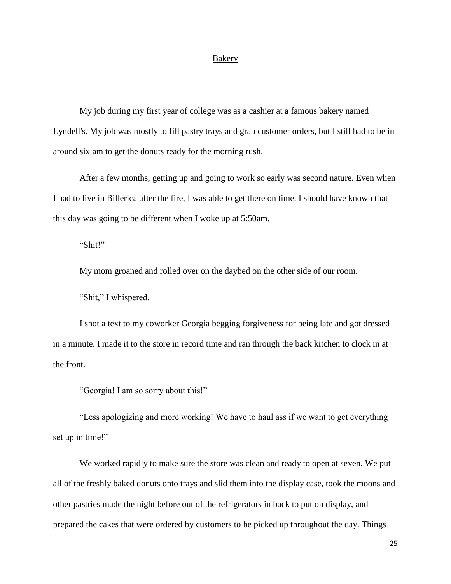#### **Bakery**

My job during my first year of college was as a cashier at a famous bakery named Lyndell's. My job was mostly to fill pastry trays and grab customer orders, but I still had to be in around six am to get the donuts ready for the morning rush.

After a few months, getting up and going to work so early was second nature. Even when I had to live in Billerica after the fire, I was able to get there on time. I should have known that this day was going to be different when I woke up at 5:50am.

"Shit!"

My mom groaned and rolled over on the daybed on the other side of our room.

"Shit," I whispered.

I shot a text to my coworker Georgia begging forgiveness for being late and got dressed in a minute. I made it to the store in record time and ran through the back kitchen to clock in at the front.

"Georgia! I am so sorry about this!"

"Less apologizing and more working! We have to haul ass if we want to get everything set up in time!"

We worked rapidly to make sure the store was clean and ready to open at seven. We put all of the freshly baked donuts onto trays and slid them into the display case, took the moons and other pastries made the night before out of the refrigerators in back to put on display, and prepared the cakes that were ordered by customers to be picked up throughout the day. Things

25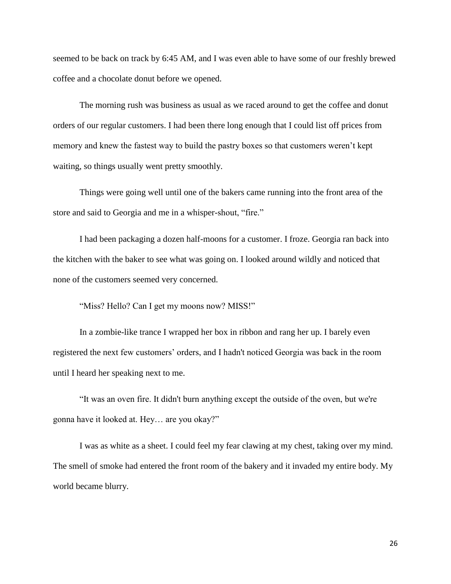seemed to be back on track by 6:45 AM, and I was even able to have some of our freshly brewed coffee and a chocolate donut before we opened.

The morning rush was business as usual as we raced around to get the coffee and donut orders of our regular customers. I had been there long enough that I could list off prices from memory and knew the fastest way to build the pastry boxes so that customers weren't kept waiting, so things usually went pretty smoothly.

Things were going well until one of the bakers came running into the front area of the store and said to Georgia and me in a whisper-shout, "fire."

I had been packaging a dozen half-moons for a customer. I froze. Georgia ran back into the kitchen with the baker to see what was going on. I looked around wildly and noticed that none of the customers seemed very concerned.

"Miss? Hello? Can I get my moons now? MISS!"

In a zombie-like trance I wrapped her box in ribbon and rang her up. I barely even registered the next few customers' orders, and I hadn't noticed Georgia was back in the room until I heard her speaking next to me.

"It was an oven fire. It didn't burn anything except the outside of the oven, but we're gonna have it looked at. Hey… are you okay?"

I was as white as a sheet. I could feel my fear clawing at my chest, taking over my mind. The smell of smoke had entered the front room of the bakery and it invaded my entire body. My world became blurry.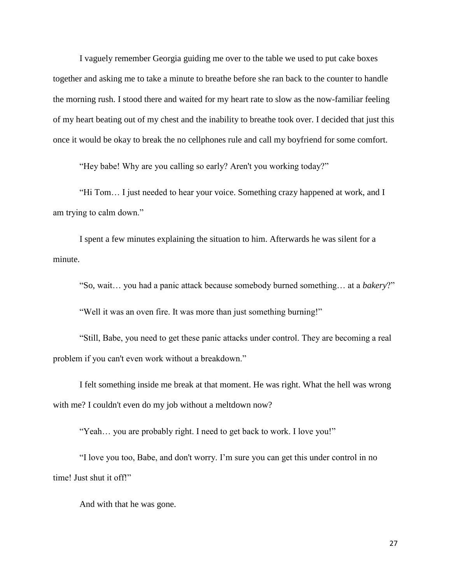I vaguely remember Georgia guiding me over to the table we used to put cake boxes together and asking me to take a minute to breathe before she ran back to the counter to handle the morning rush. I stood there and waited for my heart rate to slow as the now-familiar feeling of my heart beating out of my chest and the inability to breathe took over. I decided that just this once it would be okay to break the no cellphones rule and call my boyfriend for some comfort.

"Hey babe! Why are you calling so early? Aren't you working today?"

"Hi Tom… I just needed to hear your voice. Something crazy happened at work, and I am trying to calm down."

I spent a few minutes explaining the situation to him. Afterwards he was silent for a minute.

"So, wait… you had a panic attack because somebody burned something… at a *bakery*?"

"Well it was an oven fire. It was more than just something burning!"

"Still, Babe, you need to get these panic attacks under control. They are becoming a real problem if you can't even work without a breakdown."

I felt something inside me break at that moment. He was right. What the hell was wrong with me? I couldn't even do my job without a meltdown now?

"Yeah… you are probably right. I need to get back to work. I love you!"

"I love you too, Babe, and don't worry. I'm sure you can get this under control in no time! Just shut it off!"

And with that he was gone.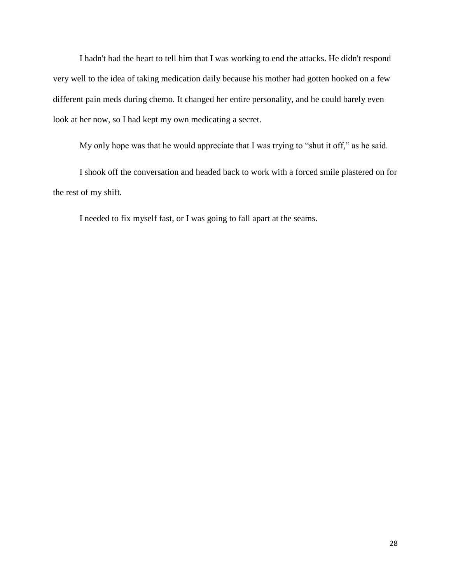I hadn't had the heart to tell him that I was working to end the attacks. He didn't respond very well to the idea of taking medication daily because his mother had gotten hooked on a few different pain meds during chemo. It changed her entire personality, and he could barely even look at her now, so I had kept my own medicating a secret.

My only hope was that he would appreciate that I was trying to "shut it off," as he said.

I shook off the conversation and headed back to work with a forced smile plastered on for the rest of my shift.

I needed to fix myself fast, or I was going to fall apart at the seams.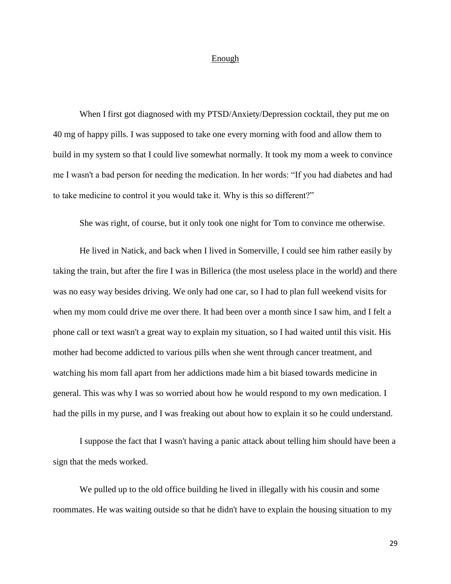### Enough

When I first got diagnosed with my PTSD/Anxiety/Depression cocktail, they put me on 40 mg of happy pills. I was supposed to take one every morning with food and allow them to build in my system so that I could live somewhat normally. It took my mom a week to convince me I wasn't a bad person for needing the medication. In her words: "If you had diabetes and had to take medicine to control it you would take it. Why is this so different?"

She was right, of course, but it only took one night for Tom to convince me otherwise.

He lived in Natick, and back when I lived in Somerville, I could see him rather easily by taking the train, but after the fire I was in Billerica (the most useless place in the world) and there was no easy way besides driving. We only had one car, so I had to plan full weekend visits for when my mom could drive me over there. It had been over a month since I saw him, and I felt a phone call or text wasn't a great way to explain my situation, so I had waited until this visit. His mother had become addicted to various pills when she went through cancer treatment, and watching his mom fall apart from her addictions made him a bit biased towards medicine in general. This was why I was so worried about how he would respond to my own medication. I had the pills in my purse, and I was freaking out about how to explain it so he could understand.

I suppose the fact that I wasn't having a panic attack about telling him should have been a sign that the meds worked.

We pulled up to the old office building he lived in illegally with his cousin and some roommates. He was waiting outside so that he didn't have to explain the housing situation to my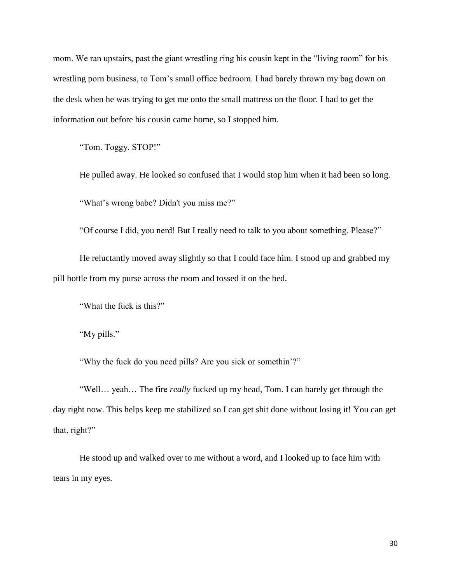mom. We ran upstairs, past the giant wrestling ring his cousin kept in the "living room" for his wrestling porn business, to Tom's small office bedroom. I had barely thrown my bag down on the desk when he was trying to get me onto the small mattress on the floor. I had to get the information out before his cousin came home, so I stopped him.

"Tom. Toggy. STOP!"

He pulled away. He looked so confused that I would stop him when it had been so long.

"What's wrong babe? Didn't you miss me?"

"Of course I did, you nerd! But I really need to talk to you about something. Please?"

He reluctantly moved away slightly so that I could face him. I stood up and grabbed my pill bottle from my purse across the room and tossed it on the bed.

"What the fuck is this?"

"My pills."

"Why the fuck do you need pills? Are you sick or somethin'?"

"Well… yeah… The fire *really* fucked up my head, Tom. I can barely get through the day right now. This helps keep me stabilized so I can get shit done without losing it! You can get that, right?"

He stood up and walked over to me without a word, and I looked up to face him with tears in my eyes.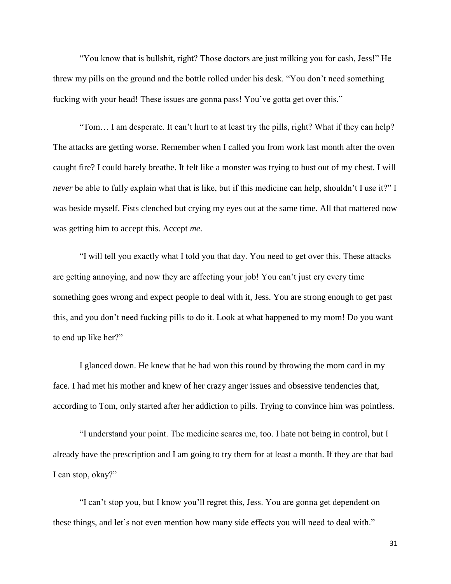"You know that is bullshit, right? Those doctors are just milking you for cash, Jess!" He threw my pills on the ground and the bottle rolled under his desk. "You don't need something fucking with your head! These issues are gonna pass! You've gotta get over this."

"Tom… I am desperate. It can't hurt to at least try the pills, right? What if they can help? The attacks are getting worse. Remember when I called you from work last month after the oven caught fire? I could barely breathe. It felt like a monster was trying to bust out of my chest. I will *never* be able to fully explain what that is like, but if this medicine can help, shouldn't I use it?" I was beside myself. Fists clenched but crying my eyes out at the same time. All that mattered now was getting him to accept this. Accept *me*.

"I will tell you exactly what I told you that day. You need to get over this. These attacks are getting annoying, and now they are affecting your job! You can't just cry every time something goes wrong and expect people to deal with it, Jess. You are strong enough to get past this, and you don't need fucking pills to do it. Look at what happened to my mom! Do you want to end up like her?"

I glanced down. He knew that he had won this round by throwing the mom card in my face. I had met his mother and knew of her crazy anger issues and obsessive tendencies that, according to Tom, only started after her addiction to pills. Trying to convince him was pointless.

"I understand your point. The medicine scares me, too. I hate not being in control, but I already have the prescription and I am going to try them for at least a month. If they are that bad I can stop, okay?"

"I can't stop you, but I know you'll regret this, Jess. You are gonna get dependent on these things, and let's not even mention how many side effects you will need to deal with."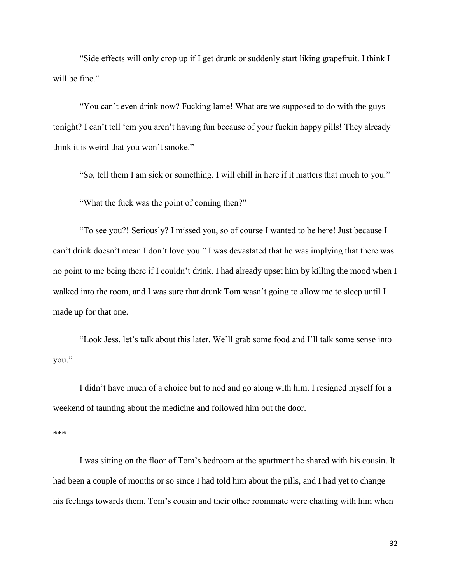"Side effects will only crop up if I get drunk or suddenly start liking grapefruit. I think I will be fine."

"You can't even drink now? Fucking lame! What are we supposed to do with the guys tonight? I can't tell 'em you aren't having fun because of your fuckin happy pills! They already think it is weird that you won't smoke."

"So, tell them I am sick or something. I will chill in here if it matters that much to you."

"What the fuck was the point of coming then?"

"To see you?! Seriously? I missed you, so of course I wanted to be here! Just because I can't drink doesn't mean I don't love you." I was devastated that he was implying that there was no point to me being there if I couldn't drink. I had already upset him by killing the mood when I walked into the room, and I was sure that drunk Tom wasn't going to allow me to sleep until I made up for that one.

"Look Jess, let's talk about this later. We'll grab some food and I'll talk some sense into you."

I didn't have much of a choice but to nod and go along with him. I resigned myself for a weekend of taunting about the medicine and followed him out the door.

\*\*\*

I was sitting on the floor of Tom's bedroom at the apartment he shared with his cousin. It had been a couple of months or so since I had told him about the pills, and I had yet to change his feelings towards them. Tom's cousin and their other roommate were chatting with him when

32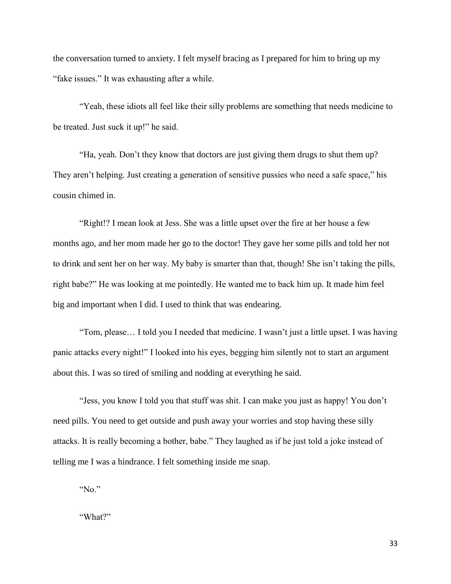the conversation turned to anxiety. I felt myself bracing as I prepared for him to bring up my "fake issues." It was exhausting after a while.

"Yeah, these idiots all feel like their silly problems are something that needs medicine to be treated. Just suck it up!" he said.

"Ha, yeah. Don't they know that doctors are just giving them drugs to shut them up? They aren't helping. Just creating a generation of sensitive pussies who need a safe space," his cousin chimed in.

"Right!? I mean look at Jess. She was a little upset over the fire at her house a few months ago, and her mom made her go to the doctor! They gave her some pills and told her not to drink and sent her on her way. My baby is smarter than that, though! She isn't taking the pills, right babe?" He was looking at me pointedly. He wanted me to back him up. It made him feel big and important when I did. I used to think that was endearing.

"Tom, please… I told you I needed that medicine. I wasn't just a little upset. I was having panic attacks every night!" I looked into his eyes, begging him silently not to start an argument about this. I was so tired of smiling and nodding at everything he said.

"Jess, you know I told you that stuff was shit. I can make you just as happy! You don't need pills. You need to get outside and push away your worries and stop having these silly attacks. It is really becoming a bother, babe." They laughed as if he just told a joke instead of telling me I was a hindrance. I felt something inside me snap.

"No."

"What?"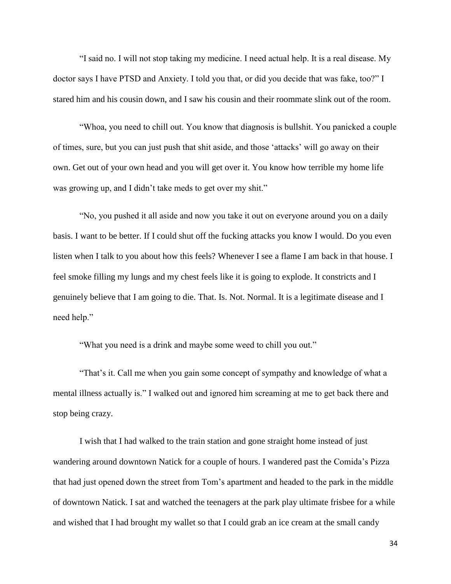"I said no. I will not stop taking my medicine. I need actual help. It is a real disease. My doctor says I have PTSD and Anxiety. I told you that, or did you decide that was fake, too?" I stared him and his cousin down, and I saw his cousin and their roommate slink out of the room.

"Whoa, you need to chill out. You know that diagnosis is bullshit. You panicked a couple of times, sure, but you can just push that shit aside, and those 'attacks' will go away on their own. Get out of your own head and you will get over it. You know how terrible my home life was growing up, and I didn't take meds to get over my shit."

"No, you pushed it all aside and now you take it out on everyone around you on a daily basis. I want to be better. If I could shut off the fucking attacks you know I would. Do you even listen when I talk to you about how this feels? Whenever I see a flame I am back in that house. I feel smoke filling my lungs and my chest feels like it is going to explode. It constricts and I genuinely believe that I am going to die. That. Is. Not. Normal. It is a legitimate disease and I need help."

"What you need is a drink and maybe some weed to chill you out."

"That's it. Call me when you gain some concept of sympathy and knowledge of what a mental illness actually is." I walked out and ignored him screaming at me to get back there and stop being crazy.

I wish that I had walked to the train station and gone straight home instead of just wandering around downtown Natick for a couple of hours. I wandered past the Comida's Pizza that had just opened down the street from Tom's apartment and headed to the park in the middle of downtown Natick. I sat and watched the teenagers at the park play ultimate frisbee for a while and wished that I had brought my wallet so that I could grab an ice cream at the small candy

34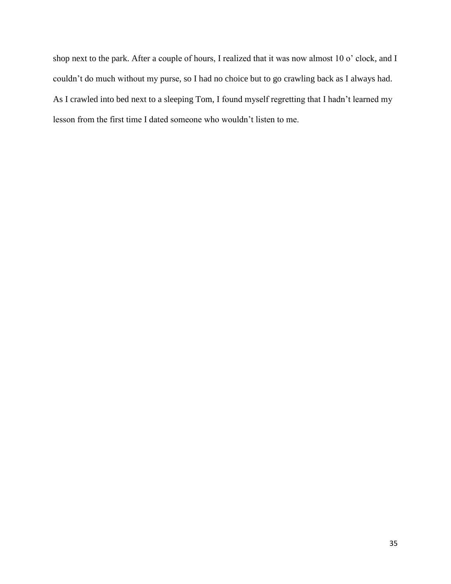shop next to the park. After a couple of hours, I realized that it was now almost 10 o' clock, and I couldn't do much without my purse, so I had no choice but to go crawling back as I always had. As I crawled into bed next to a sleeping Tom, I found myself regretting that I hadn't learned my lesson from the first time I dated someone who wouldn't listen to me.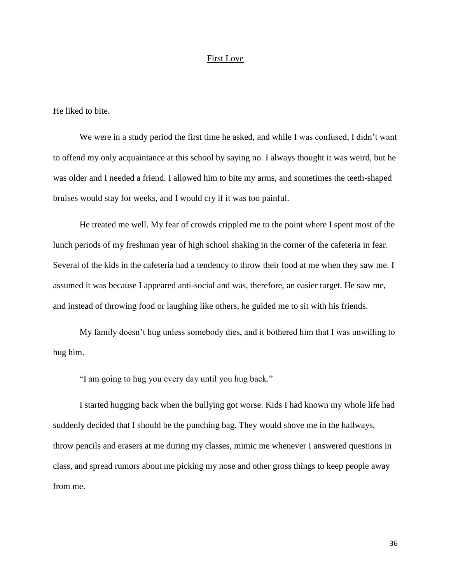## First Love

He liked to bite.

We were in a study period the first time he asked, and while I was confused, I didn't want to offend my only acquaintance at this school by saying no. I always thought it was weird, but he was older and I needed a friend. I allowed him to bite my arms, and sometimes the teeth-shaped bruises would stay for weeks, and I would cry if it was too painful.

He treated me well. My fear of crowds crippled me to the point where I spent most of the lunch periods of my freshman year of high school shaking in the corner of the cafeteria in fear. Several of the kids in the cafeteria had a tendency to throw their food at me when they saw me. I assumed it was because I appeared anti-social and was, therefore, an easier target. He saw me, and instead of throwing food or laughing like others, he guided me to sit with his friends.

My family doesn't hug unless somebody dies, and it bothered him that I was unwilling to hug him.

"I am going to hug you every day until you hug back."

I started hugging back when the bullying got worse. Kids I had known my whole life had suddenly decided that I should be the punching bag. They would shove me in the hallways, throw pencils and erasers at me during my classes, mimic me whenever I answered questions in class, and spread rumors about me picking my nose and other gross things to keep people away from me.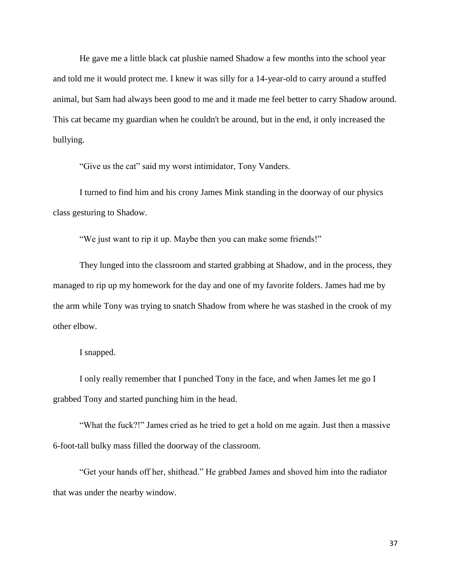He gave me a little black cat plushie named Shadow a few months into the school year and told me it would protect me. I knew it was silly for a 14-year-old to carry around a stuffed animal, but Sam had always been good to me and it made me feel better to carry Shadow around. This cat became my guardian when he couldn't be around, but in the end, it only increased the bullying.

"Give us the cat" said my worst intimidator, Tony Vanders.

I turned to find him and his crony James Mink standing in the doorway of our physics class gesturing to Shadow.

"We just want to rip it up. Maybe then you can make some friends!"

They lunged into the classroom and started grabbing at Shadow, and in the process, they managed to rip up my homework for the day and one of my favorite folders. James had me by the arm while Tony was trying to snatch Shadow from where he was stashed in the crook of my other elbow.

I snapped.

I only really remember that I punched Tony in the face, and when James let me go I grabbed Tony and started punching him in the head.

"What the fuck?!" James cried as he tried to get a hold on me again. Just then a massive 6-foot-tall bulky mass filled the doorway of the classroom.

"Get your hands off her, shithead." He grabbed James and shoved him into the radiator that was under the nearby window.

37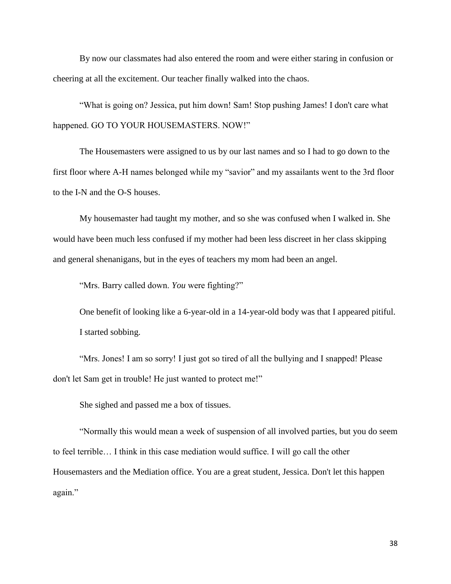By now our classmates had also entered the room and were either staring in confusion or cheering at all the excitement. Our teacher finally walked into the chaos.

"What is going on? Jessica, put him down! Sam! Stop pushing James! I don't care what happened. GO TO YOUR HOUSEMASTERS. NOW!"

The Housemasters were assigned to us by our last names and so I had to go down to the first floor where A-H names belonged while my "savior" and my assailants went to the 3rd floor to the I-N and the O-S houses.

My housemaster had taught my mother, and so she was confused when I walked in. She would have been much less confused if my mother had been less discreet in her class skipping and general shenanigans, but in the eyes of teachers my mom had been an angel.

"Mrs. Barry called down. *You* were fighting?"

One benefit of looking like a 6-year-old in a 14-year-old body was that I appeared pitiful. I started sobbing.

"Mrs. Jones! I am so sorry! I just got so tired of all the bullying and I snapped! Please don't let Sam get in trouble! He just wanted to protect me!"

She sighed and passed me a box of tissues.

"Normally this would mean a week of suspension of all involved parties, but you do seem to feel terrible… I think in this case mediation would suffice. I will go call the other Housemasters and the Mediation office. You are a great student, Jessica. Don't let this happen again."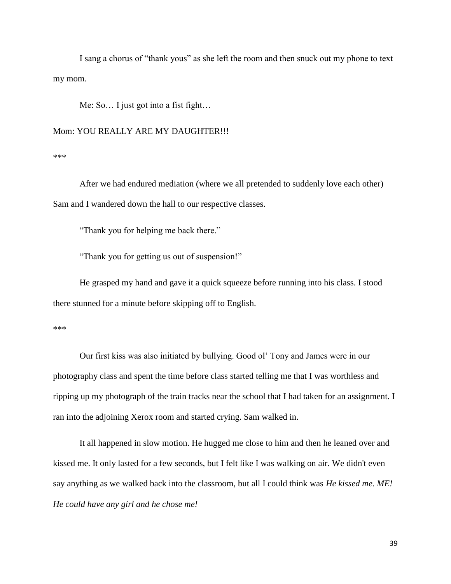I sang a chorus of "thank yous" as she left the room and then snuck out my phone to text my mom.

Me: So… I just got into a fist fight…

Mom: YOU REALLY ARE MY DAUGHTER!!!

\*\*\*

After we had endured mediation (where we all pretended to suddenly love each other) Sam and I wandered down the hall to our respective classes.

"Thank you for helping me back there."

"Thank you for getting us out of suspension!"

He grasped my hand and gave it a quick squeeze before running into his class. I stood there stunned for a minute before skipping off to English.

\*\*\*

Our first kiss was also initiated by bullying. Good ol' Tony and James were in our photography class and spent the time before class started telling me that I was worthless and ripping up my photograph of the train tracks near the school that I had taken for an assignment. I ran into the adjoining Xerox room and started crying. Sam walked in.

It all happened in slow motion. He hugged me close to him and then he leaned over and kissed me. It only lasted for a few seconds, but I felt like I was walking on air. We didn't even say anything as we walked back into the classroom, but all I could think was *He kissed me. ME! He could have any girl and he chose me!*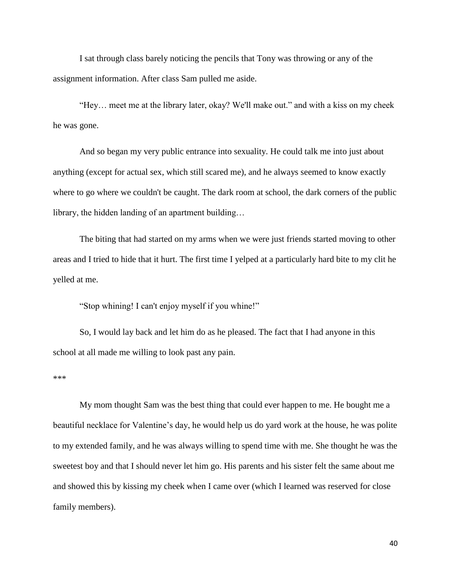I sat through class barely noticing the pencils that Tony was throwing or any of the assignment information. After class Sam pulled me aside.

"Hey… meet me at the library later, okay? We'll make out." and with a kiss on my cheek he was gone.

And so began my very public entrance into sexuality. He could talk me into just about anything (except for actual sex, which still scared me), and he always seemed to know exactly where to go where we couldn't be caught. The dark room at school, the dark corners of the public library, the hidden landing of an apartment building…

The biting that had started on my arms when we were just friends started moving to other areas and I tried to hide that it hurt. The first time I yelped at a particularly hard bite to my clit he yelled at me.

"Stop whining! I can't enjoy myself if you whine!"

So, I would lay back and let him do as he pleased. The fact that I had anyone in this school at all made me willing to look past any pain.

\*\*\*

My mom thought Sam was the best thing that could ever happen to me. He bought me a beautiful necklace for Valentine's day, he would help us do yard work at the house, he was polite to my extended family, and he was always willing to spend time with me. She thought he was the sweetest boy and that I should never let him go. His parents and his sister felt the same about me and showed this by kissing my cheek when I came over (which I learned was reserved for close family members).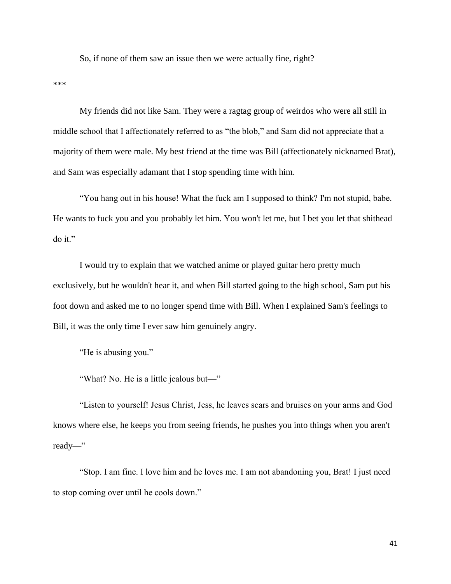So, if none of them saw an issue then we were actually fine, right?

\*\*\*

My friends did not like Sam. They were a ragtag group of weirdos who were all still in middle school that I affectionately referred to as "the blob," and Sam did not appreciate that a majority of them were male. My best friend at the time was Bill (affectionately nicknamed Brat), and Sam was especially adamant that I stop spending time with him.

"You hang out in his house! What the fuck am I supposed to think? I'm not stupid, babe. He wants to fuck you and you probably let him. You won't let me, but I bet you let that shithead do it."

I would try to explain that we watched anime or played guitar hero pretty much exclusively, but he wouldn't hear it, and when Bill started going to the high school, Sam put his foot down and asked me to no longer spend time with Bill. When I explained Sam's feelings to Bill, it was the only time I ever saw him genuinely angry.

"He is abusing you."

"What? No. He is a little jealous but—"

"Listen to yourself! Jesus Christ, Jess, he leaves scars and bruises on your arms and God knows where else, he keeps you from seeing friends, he pushes you into things when you aren't ready—"

"Stop. I am fine. I love him and he loves me. I am not abandoning you, Brat! I just need to stop coming over until he cools down."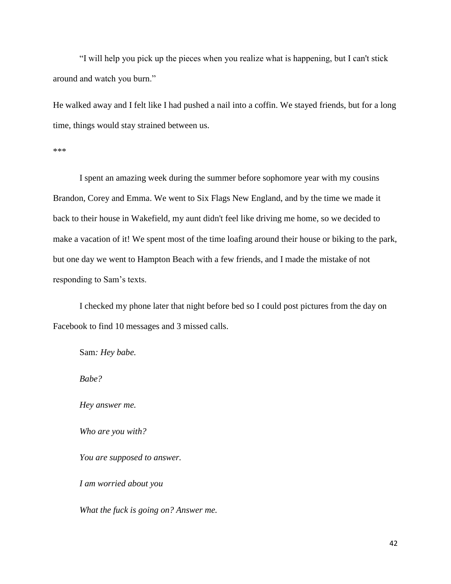"I will help you pick up the pieces when you realize what is happening, but I can't stick around and watch you burn."

He walked away and I felt like I had pushed a nail into a coffin. We stayed friends, but for a long time, things would stay strained between us.

\*\*\*

I spent an amazing week during the summer before sophomore year with my cousins Brandon, Corey and Emma. We went to Six Flags New England, and by the time we made it back to their house in Wakefield, my aunt didn't feel like driving me home, so we decided to make a vacation of it! We spent most of the time loafing around their house or biking to the park, but one day we went to Hampton Beach with a few friends, and I made the mistake of not responding to Sam's texts.

I checked my phone later that night before bed so I could post pictures from the day on Facebook to find 10 messages and 3 missed calls.

Sam*: Hey babe.*

*Babe?* 

*Hey answer me.*

*Who are you with?* 

*You are supposed to answer.*

*I am worried about you*

*What the fuck is going on? Answer me.*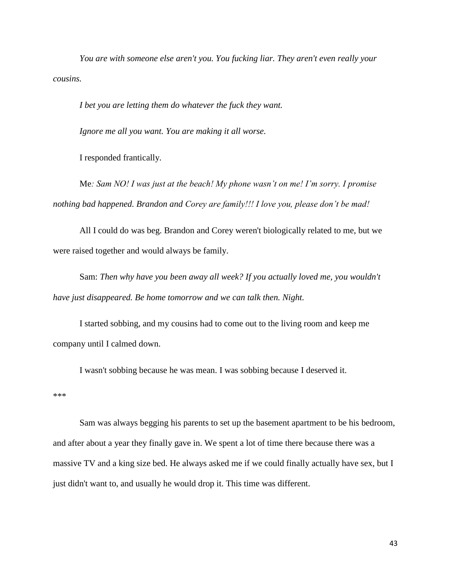*You are with someone else aren't you. You fucking liar. They aren't even really your cousins.*

*I bet you are letting them do whatever the fuck they want.* 

*Ignore me all you want. You are making it all worse.*

I responded frantically.

Me*: Sam NO! I was just at the beach! My phone wasn't on me! I'm sorry. I promise nothing bad happened. Brandon and Corey are family!!! I love you, please don't be mad!*

All I could do was beg. Brandon and Corey weren't biologically related to me, but we were raised together and would always be family.

Sam: *Then why have you been away all week? If you actually loved me, you wouldn't have just disappeared. Be home tomorrow and we can talk then. Night.*

I started sobbing, and my cousins had to come out to the living room and keep me company until I calmed down.

I wasn't sobbing because he was mean. I was sobbing because I deserved it.

\*\*\*

Sam was always begging his parents to set up the basement apartment to be his bedroom, and after about a year they finally gave in. We spent a lot of time there because there was a massive TV and a king size bed. He always asked me if we could finally actually have sex, but I just didn't want to, and usually he would drop it. This time was different.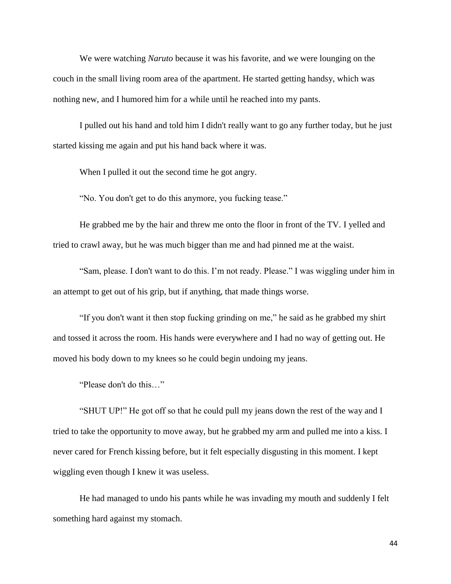We were watching *Naruto* because it was his favorite, and we were lounging on the couch in the small living room area of the apartment. He started getting handsy, which was nothing new, and I humored him for a while until he reached into my pants.

I pulled out his hand and told him I didn't really want to go any further today, but he just started kissing me again and put his hand back where it was.

When I pulled it out the second time he got angry.

"No. You don't get to do this anymore, you fucking tease."

He grabbed me by the hair and threw me onto the floor in front of the TV. I yelled and tried to crawl away, but he was much bigger than me and had pinned me at the waist.

"Sam, please. I don't want to do this. I'm not ready. Please." I was wiggling under him in an attempt to get out of his grip, but if anything, that made things worse.

"If you don't want it then stop fucking grinding on me," he said as he grabbed my shirt and tossed it across the room. His hands were everywhere and I had no way of getting out. He moved his body down to my knees so he could begin undoing my jeans.

"Please don't do this…"

"SHUT UP!" He got off so that he could pull my jeans down the rest of the way and I tried to take the opportunity to move away, but he grabbed my arm and pulled me into a kiss. I never cared for French kissing before, but it felt especially disgusting in this moment. I kept wiggling even though I knew it was useless.

He had managed to undo his pants while he was invading my mouth and suddenly I felt something hard against my stomach.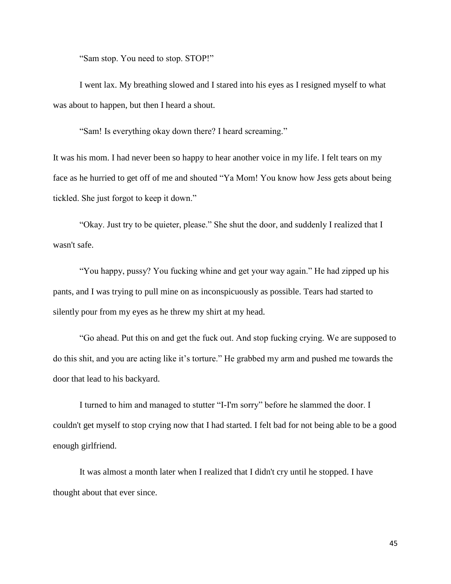"Sam stop. You need to stop. STOP!"

I went lax. My breathing slowed and I stared into his eyes as I resigned myself to what was about to happen, but then I heard a shout.

"Sam! Is everything okay down there? I heard screaming."

It was his mom. I had never been so happy to hear another voice in my life. I felt tears on my face as he hurried to get off of me and shouted "Ya Mom! You know how Jess gets about being tickled. She just forgot to keep it down."

"Okay. Just try to be quieter, please." She shut the door, and suddenly I realized that I wasn't safe.

"You happy, pussy? You fucking whine and get your way again." He had zipped up his pants, and I was trying to pull mine on as inconspicuously as possible. Tears had started to silently pour from my eyes as he threw my shirt at my head.

"Go ahead. Put this on and get the fuck out. And stop fucking crying. We are supposed to do this shit, and you are acting like it's torture." He grabbed my arm and pushed me towards the door that lead to his backyard.

I turned to him and managed to stutter "I-I'm sorry" before he slammed the door. I couldn't get myself to stop crying now that I had started. I felt bad for not being able to be a good enough girlfriend.

It was almost a month later when I realized that I didn't cry until he stopped. I have thought about that ever since.

45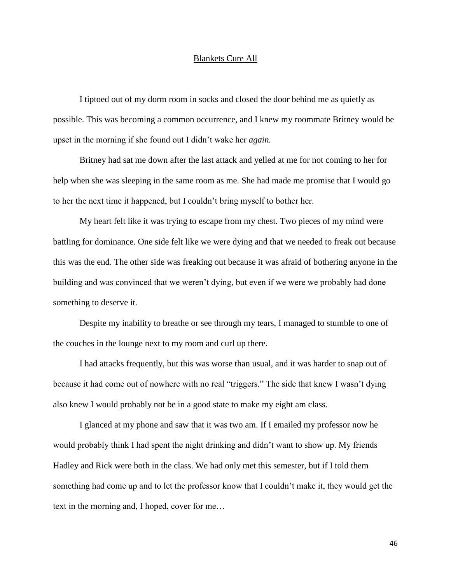### Blankets Cure All

I tiptoed out of my dorm room in socks and closed the door behind me as quietly as possible. This was becoming a common occurrence, and I knew my roommate Britney would be upset in the morning if she found out I didn't wake her *again.*

Britney had sat me down after the last attack and yelled at me for not coming to her for help when she was sleeping in the same room as me. She had made me promise that I would go to her the next time it happened, but I couldn't bring myself to bother her.

My heart felt like it was trying to escape from my chest. Two pieces of my mind were battling for dominance. One side felt like we were dying and that we needed to freak out because this was the end. The other side was freaking out because it was afraid of bothering anyone in the building and was convinced that we weren't dying, but even if we were we probably had done something to deserve it.

Despite my inability to breathe or see through my tears, I managed to stumble to one of the couches in the lounge next to my room and curl up there.

I had attacks frequently, but this was worse than usual, and it was harder to snap out of because it had come out of nowhere with no real "triggers." The side that knew I wasn't dying also knew I would probably not be in a good state to make my eight am class.

I glanced at my phone and saw that it was two am. If I emailed my professor now he would probably think I had spent the night drinking and didn't want to show up. My friends Hadley and Rick were both in the class. We had only met this semester, but if I told them something had come up and to let the professor know that I couldn't make it, they would get the text in the morning and, I hoped, cover for me…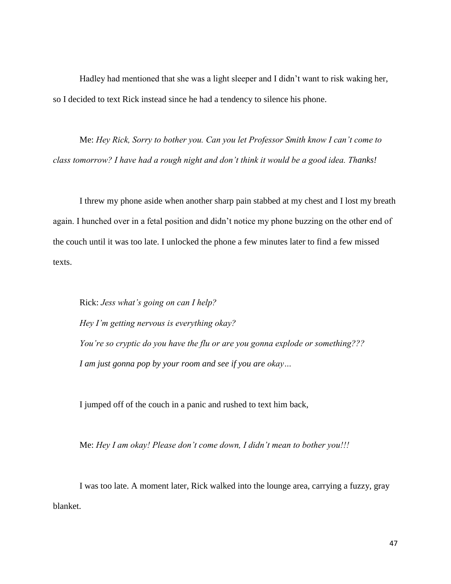Hadley had mentioned that she was a light sleeper and I didn't want to risk waking her, so I decided to text Rick instead since he had a tendency to silence his phone.

Me: *Hey Rick, Sorry to bother you. Can you let Professor Smith know I can't come to class tomorrow? I have had a rough night and don't think it would be a good idea. Thanks!*

I threw my phone aside when another sharp pain stabbed at my chest and I lost my breath again. I hunched over in a fetal position and didn't notice my phone buzzing on the other end of the couch until it was too late. I unlocked the phone a few minutes later to find a few missed texts.

Rick: *Jess what's going on can I help? Hey I'm getting nervous is everything okay? You're so cryptic do you have the flu or are you gonna explode or something??? I am just gonna pop by your room and see if you are okay…*

I jumped off of the couch in a panic and rushed to text him back,

Me: *Hey I am okay! Please don't come down, I didn't mean to bother you!!!*

I was too late. A moment later, Rick walked into the lounge area, carrying a fuzzy, gray blanket.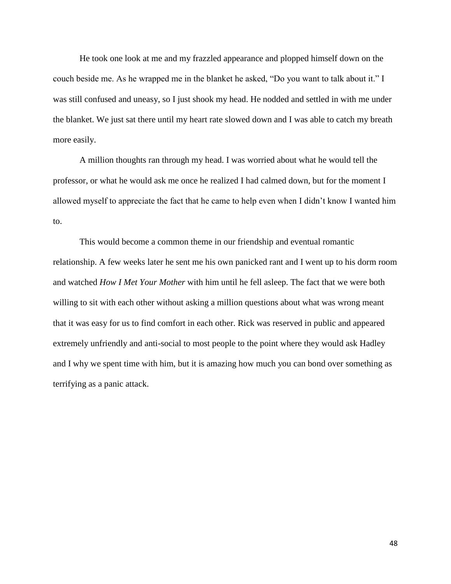He took one look at me and my frazzled appearance and plopped himself down on the couch beside me. As he wrapped me in the blanket he asked, "Do you want to talk about it." I was still confused and uneasy, so I just shook my head. He nodded and settled in with me under the blanket. We just sat there until my heart rate slowed down and I was able to catch my breath more easily.

A million thoughts ran through my head. I was worried about what he would tell the professor, or what he would ask me once he realized I had calmed down, but for the moment I allowed myself to appreciate the fact that he came to help even when I didn't know I wanted him to.

This would become a common theme in our friendship and eventual romantic relationship. A few weeks later he sent me his own panicked rant and I went up to his dorm room and watched *How I Met Your Mother* with him until he fell asleep. The fact that we were both willing to sit with each other without asking a million questions about what was wrong meant that it was easy for us to find comfort in each other. Rick was reserved in public and appeared extremely unfriendly and anti-social to most people to the point where they would ask Hadley and I why we spent time with him, but it is amazing how much you can bond over something as terrifying as a panic attack.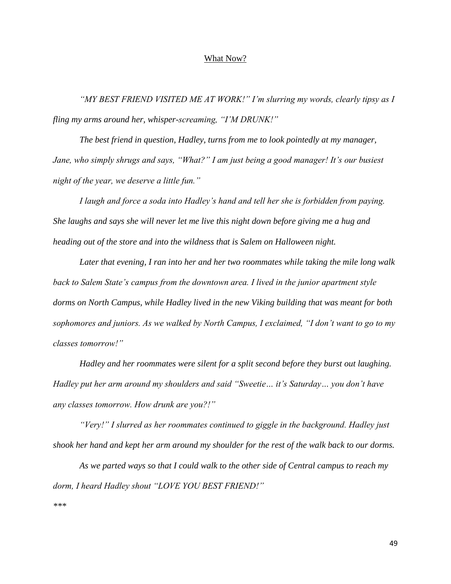#### What Now?

*"MY BEST FRIEND VISITED ME AT WORK!" I'm slurring my words, clearly tipsy as I fling my arms around her, whisper-screaming, "I'M DRUNK!"*

*The best friend in question, Hadley, turns from me to look pointedly at my manager, Jane, who simply shrugs and says, "What?" I am just being a good manager! It's our busiest night of the year, we deserve a little fun."*

*I laugh and force a soda into Hadley's hand and tell her she is forbidden from paying. She laughs and says she will never let me live this night down before giving me a hug and heading out of the store and into the wildness that is Salem on Halloween night.*

*Later that evening, I ran into her and her two roommates while taking the mile long walk back to Salem State's campus from the downtown area. I lived in the junior apartment style dorms on North Campus, while Hadley lived in the new Viking building that was meant for both sophomores and juniors. As we walked by North Campus, I exclaimed, "I don't want to go to my classes tomorrow!"*

*Hadley and her roommates were silent for a split second before they burst out laughing. Hadley put her arm around my shoulders and said "Sweetie… it's Saturday… you don't have any classes tomorrow. How drunk are you?!"*

*"Very!" I slurred as her roommates continued to giggle in the background. Hadley just shook her hand and kept her arm around my shoulder for the rest of the walk back to our dorms.*

*As we parted ways so that I could walk to the other side of Central campus to reach my dorm, I heard Hadley shout "LOVE YOU BEST FRIEND!"*

*\*\*\**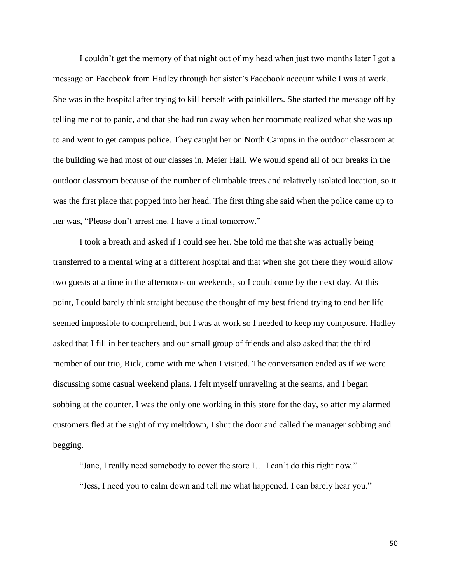I couldn't get the memory of that night out of my head when just two months later I got a message on Facebook from Hadley through her sister's Facebook account while I was at work. She was in the hospital after trying to kill herself with painkillers. She started the message off by telling me not to panic, and that she had run away when her roommate realized what she was up to and went to get campus police. They caught her on North Campus in the outdoor classroom at the building we had most of our classes in, Meier Hall. We would spend all of our breaks in the outdoor classroom because of the number of climbable trees and relatively isolated location, so it was the first place that popped into her head. The first thing she said when the police came up to her was, "Please don't arrest me. I have a final tomorrow."

I took a breath and asked if I could see her. She told me that she was actually being transferred to a mental wing at a different hospital and that when she got there they would allow two guests at a time in the afternoons on weekends, so I could come by the next day. At this point, I could barely think straight because the thought of my best friend trying to end her life seemed impossible to comprehend, but I was at work so I needed to keep my composure. Hadley asked that I fill in her teachers and our small group of friends and also asked that the third member of our trio, Rick, come with me when I visited. The conversation ended as if we were discussing some casual weekend plans. I felt myself unraveling at the seams, and I began sobbing at the counter. I was the only one working in this store for the day, so after my alarmed customers fled at the sight of my meltdown, I shut the door and called the manager sobbing and begging.

"Jane, I really need somebody to cover the store I… I can't do this right now."

"Jess, I need you to calm down and tell me what happened. I can barely hear you."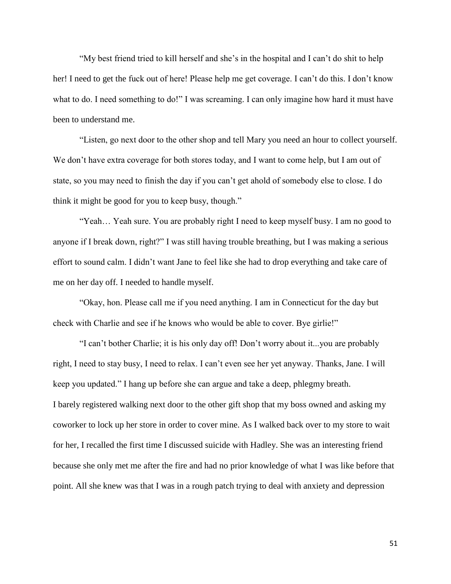"My best friend tried to kill herself and she's in the hospital and I can't do shit to help her! I need to get the fuck out of here! Please help me get coverage. I can't do this. I don't know what to do. I need something to do!" I was screaming. I can only imagine how hard it must have been to understand me.

"Listen, go next door to the other shop and tell Mary you need an hour to collect yourself. We don't have extra coverage for both stores today, and I want to come help, but I am out of state, so you may need to finish the day if you can't get ahold of somebody else to close. I do think it might be good for you to keep busy, though."

"Yeah… Yeah sure. You are probably right I need to keep myself busy. I am no good to anyone if I break down, right?" I was still having trouble breathing, but I was making a serious effort to sound calm. I didn't want Jane to feel like she had to drop everything and take care of me on her day off. I needed to handle myself.

"Okay, hon. Please call me if you need anything. I am in Connecticut for the day but check with Charlie and see if he knows who would be able to cover. Bye girlie!"

"I can't bother Charlie; it is his only day off! Don't worry about it...you are probably right, I need to stay busy, I need to relax. I can't even see her yet anyway. Thanks, Jane. I will keep you updated." I hang up before she can argue and take a deep, phlegmy breath. I barely registered walking next door to the other gift shop that my boss owned and asking my coworker to lock up her store in order to cover mine. As I walked back over to my store to wait for her, I recalled the first time I discussed suicide with Hadley. She was an interesting friend because she only met me after the fire and had no prior knowledge of what I was like before that point. All she knew was that I was in a rough patch trying to deal with anxiety and depression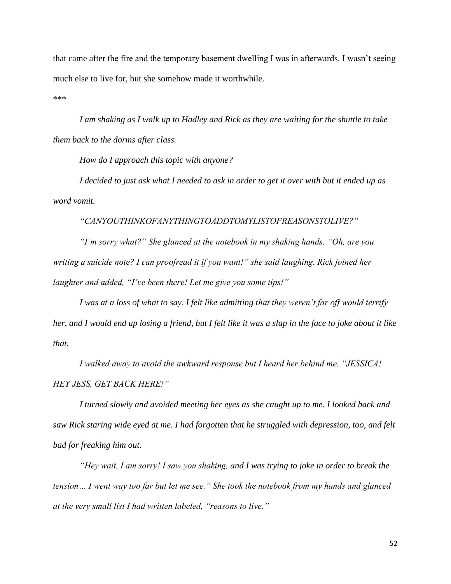that came after the fire and the temporary basement dwelling I was in afterwards. I wasn't seeing much else to live for, but she somehow made it worthwhile.

\*\*\*

*I am shaking as I walk up to Hadley and Rick as they are waiting for the shuttle to take them back to the dorms after class.* 

*How do I approach this topic with anyone?*

*I decided to just ask what I needed to ask in order to get it over with but it ended up as word vomit.*

*"CANYOUTHINKOFANYTHINGTOADDTOMYLISTOFREASONSTOLIVE?"*

*"I'm sorry what?" She glanced at the notebook in my shaking hands. "Oh, are you writing a suicide note? I can proofread it if you want!" she said laughing. Rick joined her laughter and added, "I've been there! Let me give you some tips!"*

*I was at a loss of what to say. I felt like admitting that they weren't far off would terrify her, and I would end up losing a friend, but I felt like it was a slap in the face to joke about it like that.*

*I walked away to avoid the awkward response but I heard her behind me. "JESSICA! HEY JESS, GET BACK HERE!"*

*I turned slowly and avoided meeting her eyes as she caught up to me. I looked back and saw Rick staring wide eyed at me. I had forgotten that he struggled with depression, too, and felt bad for freaking him out.*

*"Hey wait, I am sorry! I saw you shaking, and I was trying to joke in order to break the tension… I went way too far but let me see." She took the notebook from my hands and glanced at the very small list I had written labeled, "reasons to live."*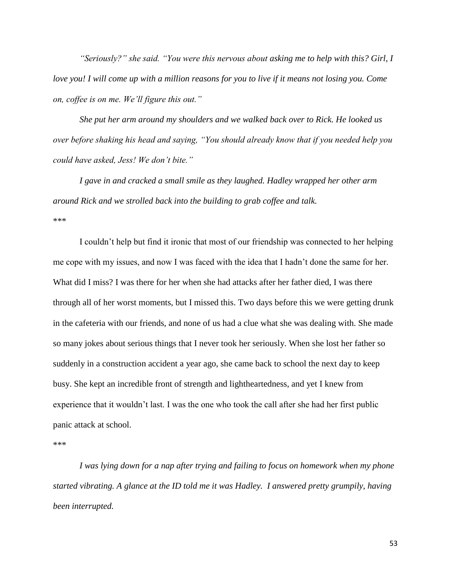*"Seriously?" she said. "You were this nervous about asking me to help with this? Girl, I love you! I will come up with a million reasons for you to live if it means not losing you. Come on, coffee is on me. We'll figure this out."*

*She put her arm around my shoulders and we walked back over to Rick. He looked us over before shaking his head and saying, "You should already know that if you needed help you could have asked, Jess! We don't bite."*

*I gave in and cracked a small smile as they laughed. Hadley wrapped her other arm around Rick and we strolled back into the building to grab coffee and talk.* \*\*\*

I couldn't help but find it ironic that most of our friendship was connected to her helping me cope with my issues, and now I was faced with the idea that I hadn't done the same for her. What did I miss? I was there for her when she had attacks after her father died, I was there through all of her worst moments, but I missed this. Two days before this we were getting drunk in the cafeteria with our friends, and none of us had a clue what she was dealing with. She made so many jokes about serious things that I never took her seriously. When she lost her father so suddenly in a construction accident a year ago, she came back to school the next day to keep busy. She kept an incredible front of strength and lightheartedness, and yet I knew from experience that it wouldn't last. I was the one who took the call after she had her first public panic attack at school.

\*\*\*

*I was lying down for a nap after trying and failing to focus on homework when my phone started vibrating. A glance at the ID told me it was Hadley. I answered pretty grumpily, having been interrupted.*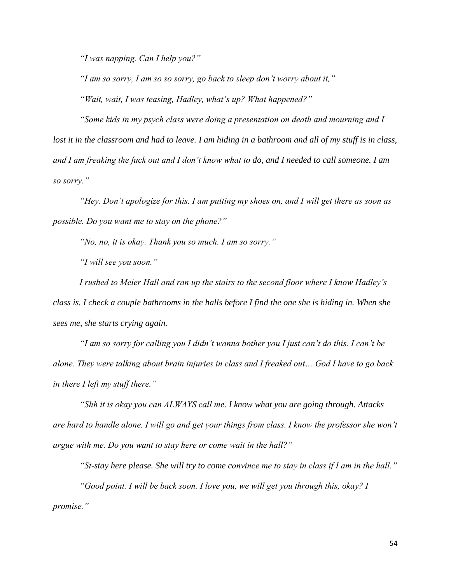*"I was napping. Can I help you?"*

*"I am so sorry, I am so so sorry, go back to sleep don't worry about it," "Wait, wait, I was teasing, Hadley, what's up? What happened?"*

*"Some kids in my psych class were doing a presentation on death and mourning and I lost it in the classroom and had to leave. I am hiding in a bathroom and all of my stuff is in class, and I am freaking the fuck out and I don't know what to do, and I needed to call someone. I am so sorry."*

*"Hey. Don't apologize for this. I am putting my shoes on, and I will get there as soon as possible. Do you want me to stay on the phone?"*

*"No, no, it is okay. Thank you so much. I am so sorry."*

*"I will see you soon."*

*I rushed to Meier Hall and ran up the stairs to the second floor where I know Hadley's class is. I check a couple bathrooms in the halls before I find the one she is hiding in. When she sees me, she starts crying again.*

*"I am so sorry for calling you I didn't wanna bother you I just can't do this. I can't be alone. They were talking about brain injuries in class and I freaked out… God I have to go back in there I left my stuff there."*

*"Shh it is okay you can ALWAYS call me. I know what you are going through. Attacks are hard to handle alone. I will go and get your things from class. I know the professor she won't argue with me. Do you want to stay here or come wait in the hall?"*

*"St-stay here please. She will try to come convince me to stay in class if I am in the hall." "Good point. I will be back soon. I love you, we will get you through this, okay? I promise."*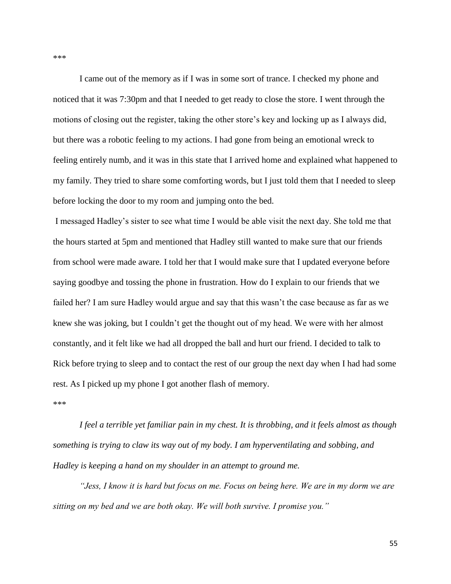I came out of the memory as if I was in some sort of trance. I checked my phone and noticed that it was 7:30pm and that I needed to get ready to close the store. I went through the motions of closing out the register, taking the other store's key and locking up as I always did, but there was a robotic feeling to my actions. I had gone from being an emotional wreck to feeling entirely numb, and it was in this state that I arrived home and explained what happened to my family. They tried to share some comforting words, but I just told them that I needed to sleep before locking the door to my room and jumping onto the bed.

I messaged Hadley's sister to see what time I would be able visit the next day. She told me that the hours started at 5pm and mentioned that Hadley still wanted to make sure that our friends from school were made aware. I told her that I would make sure that I updated everyone before saying goodbye and tossing the phone in frustration. How do I explain to our friends that we failed her? I am sure Hadley would argue and say that this wasn't the case because as far as we knew she was joking, but I couldn't get the thought out of my head. We were with her almost constantly, and it felt like we had all dropped the ball and hurt our friend. I decided to talk to Rick before trying to sleep and to contact the rest of our group the next day when I had had some rest. As I picked up my phone I got another flash of memory.

\*\*\*

*I feel a terrible yet familiar pain in my chest. It is throbbing, and it feels almost as though something is trying to claw its way out of my body. I am hyperventilating and sobbing, and Hadley is keeping a hand on my shoulder in an attempt to ground me.*

*"Jess, I know it is hard but focus on me. Focus on being here. We are in my dorm we are sitting on my bed and we are both okay. We will both survive. I promise you."*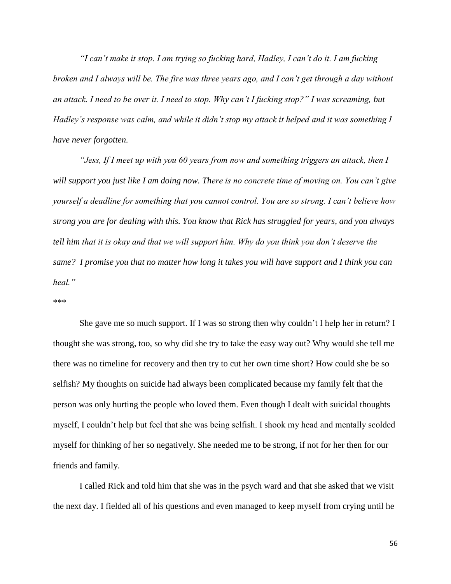*"I can't make it stop. I am trying so fucking hard, Hadley, I can't do it. I am fucking broken and I always will be. The fire was three years ago, and I can't get through a day without an attack. I need to be over it. I need to stop. Why can't I fucking stop?" I was screaming, but Hadley's response was calm, and while it didn't stop my attack it helped and it was something I have never forgotten.*

*"Jess, If I meet up with you 60 years from now and something triggers an attack, then I will support you just like I am doing now. There is no concrete time of moving on. You can't give yourself a deadline for something that you cannot control. You are so strong. I can't believe how strong you are for dealing with this. You know that Rick has struggled for years, and you always tell him that it is okay and that we will support him. Why do you think you don't deserve the same? I promise you that no matter how long it takes you will have support and I think you can heal."*

#### \*\*\*

She gave me so much support. If I was so strong then why couldn't I help her in return? I thought she was strong, too, so why did she try to take the easy way out? Why would she tell me there was no timeline for recovery and then try to cut her own time short? How could she be so selfish? My thoughts on suicide had always been complicated because my family felt that the person was only hurting the people who loved them. Even though I dealt with suicidal thoughts myself, I couldn't help but feel that she was being selfish. I shook my head and mentally scolded myself for thinking of her so negatively. She needed me to be strong, if not for her then for our friends and family.

I called Rick and told him that she was in the psych ward and that she asked that we visit the next day. I fielded all of his questions and even managed to keep myself from crying until he

56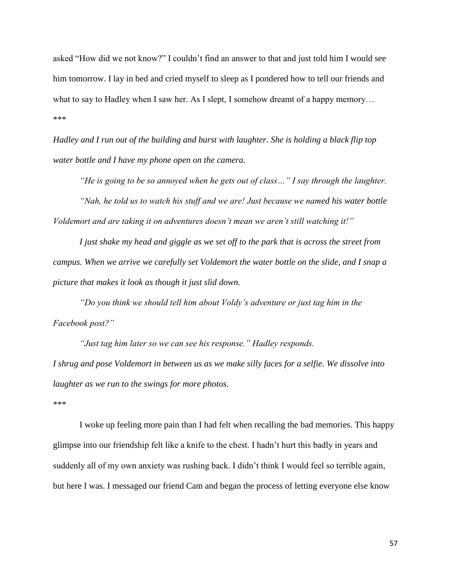asked "How did we not know?" I couldn't find an answer to that and just told him I would see him tomorrow. I lay in bed and cried myself to sleep as I pondered how to tell our friends and what to say to Hadley when I saw her. As I slept, I somehow dreamt of a happy memory... \*\*\*

*Hadley and I run out of the building and burst with laughter. She is holding a black flip top water bottle and I have my phone open on the camera.*

*"He is going to be so annoyed when he gets out of class…" I say through the laughter.*

*"Nah, he told us to watch his stuff and we are! Just because we named his water bottle Voldemort and are taking it on adventures doesn't mean we aren't still watching it!"*

*I just shake my head and giggle as we set off to the park that is across the street from campus. When we arrive we carefully set Voldemort the water bottle on the slide, and I snap a picture that makes it look as though it just slid down.*

*"Do you think we should tell him about Voldy's adventure or just tag him in the Facebook post?"*

*"Just tag him later so we can see his response." Hadley responds. I shrug and pose Voldemort in between us as we make silly faces for a selfie. We dissolve into laughter as we run to the swings for more photos.*

\*\*\*

I woke up feeling more pain than I had felt when recalling the bad memories. This happy glimpse into our friendship felt like a knife to the chest. I hadn't hurt this badly in years and suddenly all of my own anxiety was rushing back. I didn't think I would feel so terrible again, but here I was. I messaged our friend Cam and began the process of letting everyone else know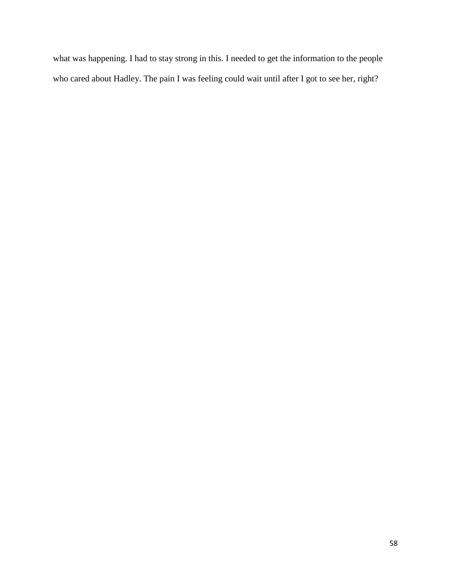what was happening. I had to stay strong in this. I needed to get the information to the people who cared about Hadley. The pain I was feeling could wait until after I got to see her, right?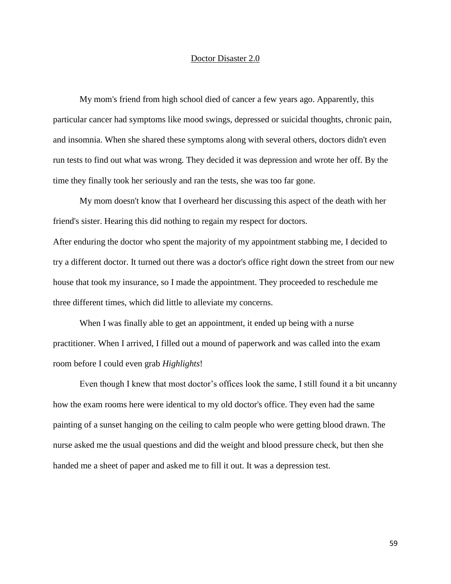# Doctor Disaster 2.0

My mom's friend from high school died of cancer a few years ago. Apparently, this particular cancer had symptoms like mood swings, depressed or suicidal thoughts, chronic pain, and insomnia. When she shared these symptoms along with several others, doctors didn't even run tests to find out what was wrong. They decided it was depression and wrote her off. By the time they finally took her seriously and ran the tests, she was too far gone.

My mom doesn't know that I overheard her discussing this aspect of the death with her friend's sister. Hearing this did nothing to regain my respect for doctors.

After enduring the doctor who spent the majority of my appointment stabbing me, I decided to try a different doctor. It turned out there was a doctor's office right down the street from our new house that took my insurance, so I made the appointment. They proceeded to reschedule me three different times, which did little to alleviate my concerns.

When I was finally able to get an appointment, it ended up being with a nurse practitioner. When I arrived, I filled out a mound of paperwork and was called into the exam room before I could even grab *Highlights*!

Even though I knew that most doctor's offices look the same, I still found it a bit uncanny how the exam rooms here were identical to my old doctor's office. They even had the same painting of a sunset hanging on the ceiling to calm people who were getting blood drawn. The nurse asked me the usual questions and did the weight and blood pressure check, but then she handed me a sheet of paper and asked me to fill it out. It was a depression test.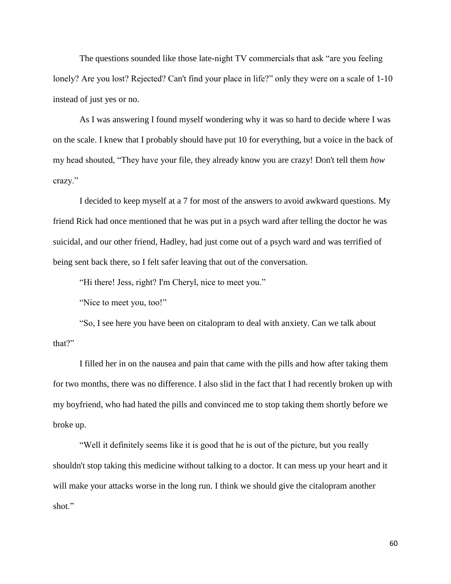The questions sounded like those late-night TV commercials that ask "are you feeling lonely? Are you lost? Rejected? Can't find your place in life?" only they were on a scale of 1-10 instead of just yes or no.

As I was answering I found myself wondering why it was so hard to decide where I was on the scale. I knew that I probably should have put 10 for everything, but a voice in the back of my head shouted, "They have your file, they already know you are crazy! Don't tell them *how*  crazy."

I decided to keep myself at a 7 for most of the answers to avoid awkward questions. My friend Rick had once mentioned that he was put in a psych ward after telling the doctor he was suicidal, and our other friend, Hadley, had just come out of a psych ward and was terrified of being sent back there, so I felt safer leaving that out of the conversation.

"Hi there! Jess, right? I'm Cheryl, nice to meet you."

"Nice to meet you, too!"

"So, I see here you have been on citalopram to deal with anxiety. Can we talk about that?"

I filled her in on the nausea and pain that came with the pills and how after taking them for two months, there was no difference. I also slid in the fact that I had recently broken up with my boyfriend, who had hated the pills and convinced me to stop taking them shortly before we broke up.

"Well it definitely seems like it is good that he is out of the picture, but you really shouldn't stop taking this medicine without talking to a doctor. It can mess up your heart and it will make your attacks worse in the long run. I think we should give the citalopram another shot."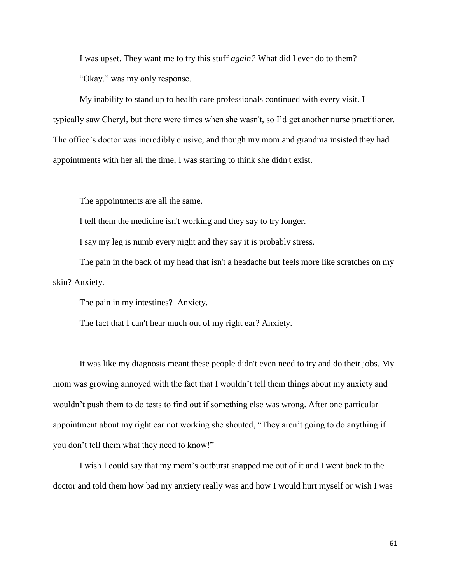I was upset. They want me to try this stuff *again?* What did I ever do to them? "Okay." was my only response.

My inability to stand up to health care professionals continued with every visit. I typically saw Cheryl, but there were times when she wasn't, so I'd get another nurse practitioner. The office's doctor was incredibly elusive, and though my mom and grandma insisted they had appointments with her all the time, I was starting to think she didn't exist.

The appointments are all the same.

I tell them the medicine isn't working and they say to try longer.

I say my leg is numb every night and they say it is probably stress.

The pain in the back of my head that isn't a headache but feels more like scratches on my skin? Anxiety.

The pain in my intestines? Anxiety.

The fact that I can't hear much out of my right ear? Anxiety.

It was like my diagnosis meant these people didn't even need to try and do their jobs. My mom was growing annoyed with the fact that I wouldn't tell them things about my anxiety and wouldn't push them to do tests to find out if something else was wrong. After one particular appointment about my right ear not working she shouted, "They aren't going to do anything if you don't tell them what they need to know!"

I wish I could say that my mom's outburst snapped me out of it and I went back to the doctor and told them how bad my anxiety really was and how I would hurt myself or wish I was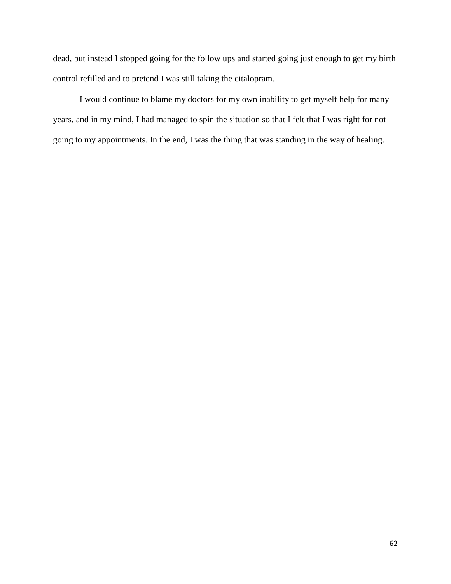dead, but instead I stopped going for the follow ups and started going just enough to get my birth control refilled and to pretend I was still taking the citalopram.

I would continue to blame my doctors for my own inability to get myself help for many years, and in my mind, I had managed to spin the situation so that I felt that I was right for not going to my appointments. In the end, I was the thing that was standing in the way of healing.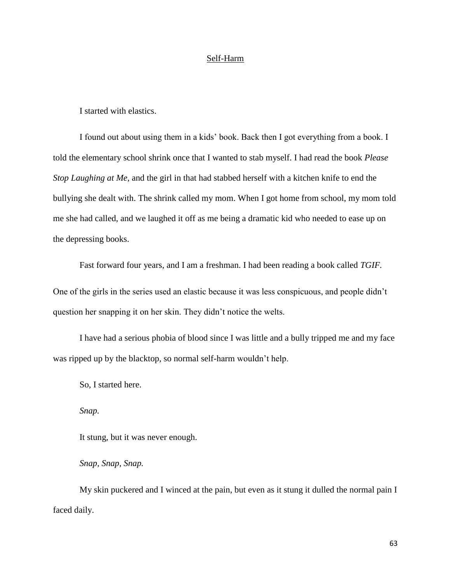## Self-Harm

I started with elastics.

I found out about using them in a kids' book. Back then I got everything from a book. I told the elementary school shrink once that I wanted to stab myself. I had read the book *Please Stop Laughing at Me,* and the girl in that had stabbed herself with a kitchen knife to end the bullying she dealt with. The shrink called my mom. When I got home from school, my mom told me she had called, and we laughed it off as me being a dramatic kid who needed to ease up on the depressing books.

Fast forward four years, and I am a freshman. I had been reading a book called *TGIF.* One of the girls in the series used an elastic because it was less conspicuous, and people didn't question her snapping it on her skin. They didn't notice the welts.

I have had a serious phobia of blood since I was little and a bully tripped me and my face was ripped up by the blacktop, so normal self-harm wouldn't help.

So, I started here.

*Snap.*

It stung, but it was never enough.

*Snap, Snap, Snap.*

My skin puckered and I winced at the pain, but even as it stung it dulled the normal pain I faced daily.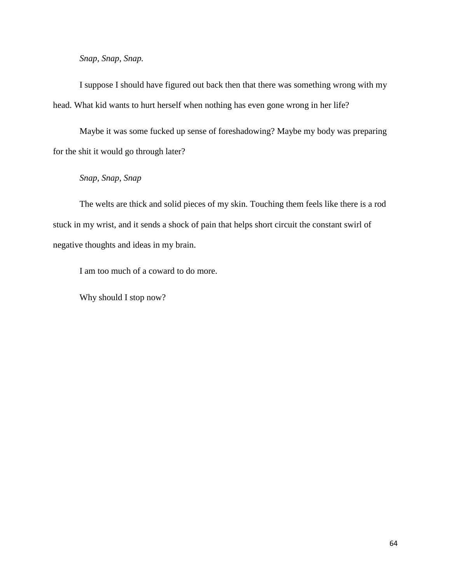*Snap, Snap, Snap.*

I suppose I should have figured out back then that there was something wrong with my head. What kid wants to hurt herself when nothing has even gone wrong in her life?

Maybe it was some fucked up sense of foreshadowing? Maybe my body was preparing for the shit it would go through later?

# *Snap, Snap, Snap*

The welts are thick and solid pieces of my skin. Touching them feels like there is a rod stuck in my wrist, and it sends a shock of pain that helps short circuit the constant swirl of negative thoughts and ideas in my brain.

I am too much of a coward to do more.

Why should I stop now?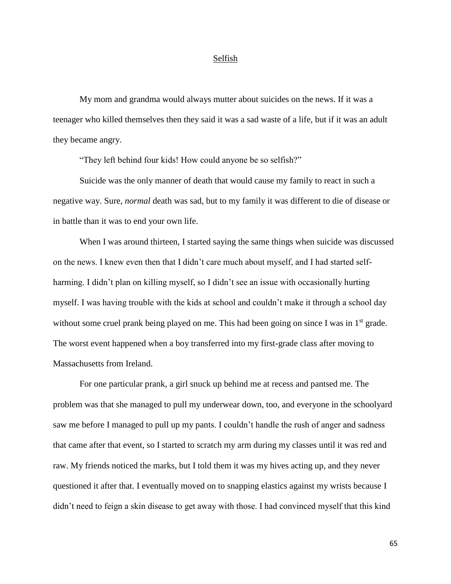### Selfish

My mom and grandma would always mutter about suicides on the news. If it was a teenager who killed themselves then they said it was a sad waste of a life, but if it was an adult they became angry.

"They left behind four kids! How could anyone be so selfish?"

Suicide was the only manner of death that would cause my family to react in such a negative way. Sure, *normal* death was sad, but to my family it was different to die of disease or in battle than it was to end your own life.

When I was around thirteen, I started saying the same things when suicide was discussed on the news. I knew even then that I didn't care much about myself, and I had started selfharming. I didn't plan on killing myself, so I didn't see an issue with occasionally hurting myself. I was having trouble with the kids at school and couldn't make it through a school day without some cruel prank being played on me. This had been going on since I was in 1<sup>st</sup> grade. The worst event happened when a boy transferred into my first-grade class after moving to Massachusetts from Ireland.

For one particular prank, a girl snuck up behind me at recess and pantsed me. The problem was that she managed to pull my underwear down, too, and everyone in the schoolyard saw me before I managed to pull up my pants. I couldn't handle the rush of anger and sadness that came after that event, so I started to scratch my arm during my classes until it was red and raw. My friends noticed the marks, but I told them it was my hives acting up, and they never questioned it after that. I eventually moved on to snapping elastics against my wrists because I didn't need to feign a skin disease to get away with those. I had convinced myself that this kind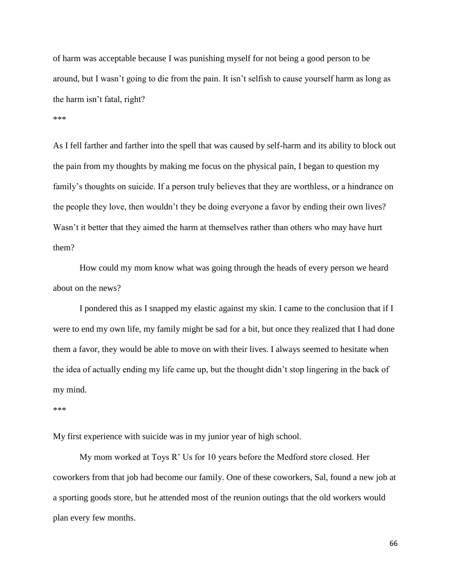of harm was acceptable because I was punishing myself for not being a good person to be around, but I wasn't going to die from the pain. It isn't selfish to cause yourself harm as long as the harm isn't fatal, right?

#### \*\*\*

As I fell farther and farther into the spell that was caused by self-harm and its ability to block out the pain from my thoughts by making me focus on the physical pain, I began to question my family's thoughts on suicide. If a person truly believes that they are worthless, or a hindrance on the people they love, then wouldn't they be doing everyone a favor by ending their own lives? Wasn't it better that they aimed the harm at themselves rather than others who may have hurt them?

How could my mom know what was going through the heads of every person we heard about on the news?

I pondered this as I snapped my elastic against my skin. I came to the conclusion that if I were to end my own life, my family might be sad for a bit, but once they realized that I had done them a favor, they would be able to move on with their lives. I always seemed to hesitate when the idea of actually ending my life came up, but the thought didn't stop lingering in the back of my mind.

#### \*\*\*

My first experience with suicide was in my junior year of high school.

My mom worked at Toys R' Us for 10 years before the Medford store closed. Her coworkers from that job had become our family. One of these coworkers, Sal, found a new job at a sporting goods store, but he attended most of the reunion outings that the old workers would plan every few months.

66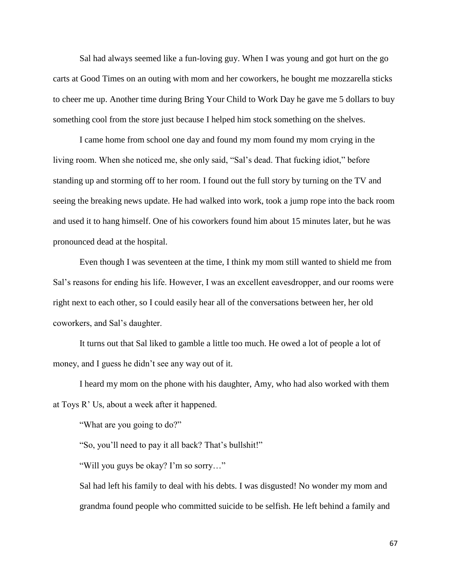Sal had always seemed like a fun-loving guy. When I was young and got hurt on the go carts at Good Times on an outing with mom and her coworkers, he bought me mozzarella sticks to cheer me up. Another time during Bring Your Child to Work Day he gave me 5 dollars to buy something cool from the store just because I helped him stock something on the shelves.

I came home from school one day and found my mom found my mom crying in the living room. When she noticed me, she only said, "Sal's dead. That fucking idiot," before standing up and storming off to her room. I found out the full story by turning on the TV and seeing the breaking news update. He had walked into work, took a jump rope into the back room and used it to hang himself. One of his coworkers found him about 15 minutes later, but he was pronounced dead at the hospital.

Even though I was seventeen at the time, I think my mom still wanted to shield me from Sal's reasons for ending his life. However, I was an excellent eavesdropper, and our rooms were right next to each other, so I could easily hear all of the conversations between her, her old coworkers, and Sal's daughter.

It turns out that Sal liked to gamble a little too much. He owed a lot of people a lot of money, and I guess he didn't see any way out of it.

I heard my mom on the phone with his daughter, Amy, who had also worked with them at Toys R' Us, about a week after it happened.

"What are you going to do?"

"So, you'll need to pay it all back? That's bullshit!"

"Will you guys be okay? I'm so sorry…"

Sal had left his family to deal with his debts. I was disgusted! No wonder my mom and grandma found people who committed suicide to be selfish. He left behind a family and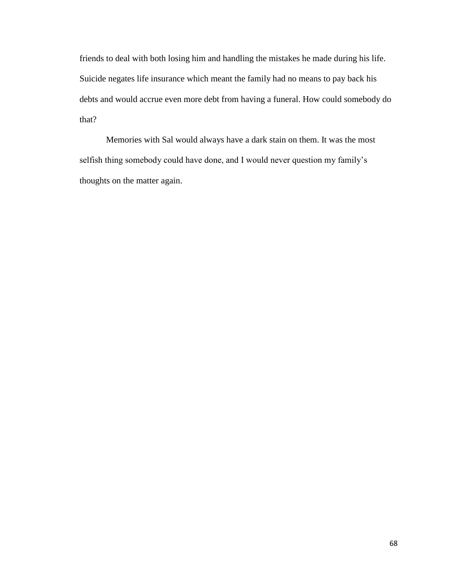friends to deal with both losing him and handling the mistakes he made during his life. Suicide negates life insurance which meant the family had no means to pay back his debts and would accrue even more debt from having a funeral. How could somebody do that?

Memories with Sal would always have a dark stain on them. It was the most selfish thing somebody could have done, and I would never question my family's thoughts on the matter again.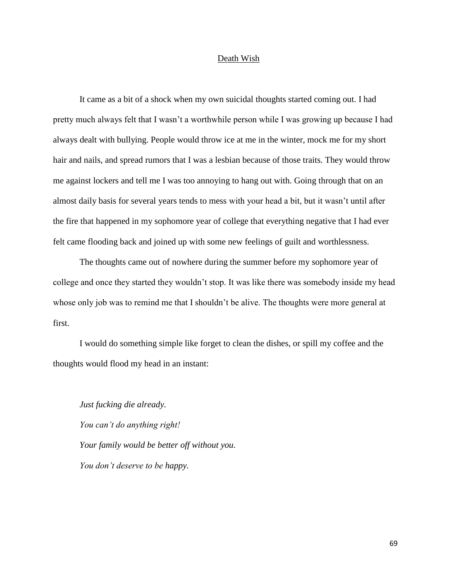## Death Wish

It came as a bit of a shock when my own suicidal thoughts started coming out. I had pretty much always felt that I wasn't a worthwhile person while I was growing up because I had always dealt with bullying. People would throw ice at me in the winter, mock me for my short hair and nails, and spread rumors that I was a lesbian because of those traits. They would throw me against lockers and tell me I was too annoying to hang out with. Going through that on an almost daily basis for several years tends to mess with your head a bit, but it wasn't until after the fire that happened in my sophomore year of college that everything negative that I had ever felt came flooding back and joined up with some new feelings of guilt and worthlessness.

The thoughts came out of nowhere during the summer before my sophomore year of college and once they started they wouldn't stop. It was like there was somebody inside my head whose only job was to remind me that I shouldn't be alive. The thoughts were more general at first.

I would do something simple like forget to clean the dishes, or spill my coffee and the thoughts would flood my head in an instant:

*Just fucking die already. You can't do anything right! Your family would be better off without you. You don't deserve to be happy.*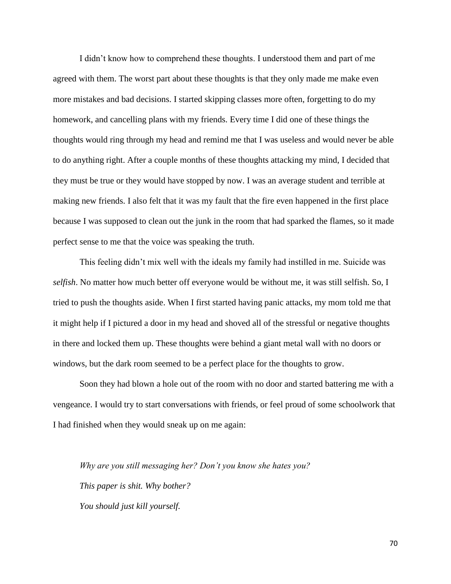I didn't know how to comprehend these thoughts. I understood them and part of me agreed with them. The worst part about these thoughts is that they only made me make even more mistakes and bad decisions. I started skipping classes more often, forgetting to do my homework, and cancelling plans with my friends. Every time I did one of these things the thoughts would ring through my head and remind me that I was useless and would never be able to do anything right. After a couple months of these thoughts attacking my mind, I decided that they must be true or they would have stopped by now. I was an average student and terrible at making new friends. I also felt that it was my fault that the fire even happened in the first place because I was supposed to clean out the junk in the room that had sparked the flames, so it made perfect sense to me that the voice was speaking the truth.

This feeling didn't mix well with the ideals my family had instilled in me. Suicide was *selfish*. No matter how much better off everyone would be without me, it was still selfish. So, I tried to push the thoughts aside. When I first started having panic attacks, my mom told me that it might help if I pictured a door in my head and shoved all of the stressful or negative thoughts in there and locked them up. These thoughts were behind a giant metal wall with no doors or windows, but the dark room seemed to be a perfect place for the thoughts to grow.

Soon they had blown a hole out of the room with no door and started battering me with a vengeance. I would try to start conversations with friends, or feel proud of some schoolwork that I had finished when they would sneak up on me again:

*Why are you still messaging her? Don't you know she hates you? This paper is shit. Why bother? You should just kill yourself.*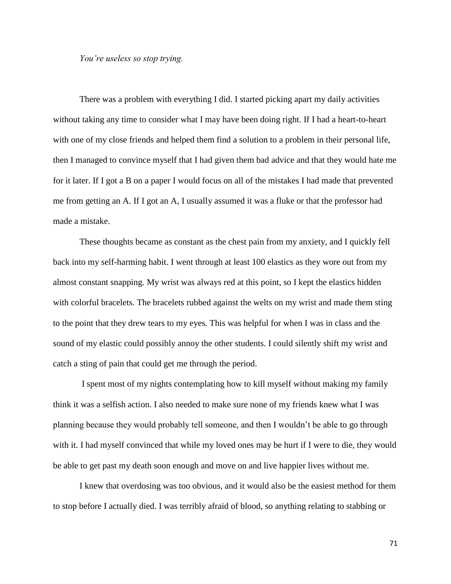# *You're useless so stop trying.*

There was a problem with everything I did. I started picking apart my daily activities without taking any time to consider what I may have been doing right. If I had a heart-to-heart with one of my close friends and helped them find a solution to a problem in their personal life, then I managed to convince myself that I had given them bad advice and that they would hate me for it later. If I got a B on a paper I would focus on all of the mistakes I had made that prevented me from getting an A. If I got an A, I usually assumed it was a fluke or that the professor had made a mistake.

These thoughts became as constant as the chest pain from my anxiety, and I quickly fell back into my self-harming habit. I went through at least 100 elastics as they wore out from my almost constant snapping. My wrist was always red at this point, so I kept the elastics hidden with colorful bracelets. The bracelets rubbed against the welts on my wrist and made them sting to the point that they drew tears to my eyes. This was helpful for when I was in class and the sound of my elastic could possibly annoy the other students. I could silently shift my wrist and catch a sting of pain that could get me through the period.

I spent most of my nights contemplating how to kill myself without making my family think it was a selfish action. I also needed to make sure none of my friends knew what I was planning because they would probably tell someone, and then I wouldn't be able to go through with it. I had myself convinced that while my loved ones may be hurt if I were to die, they would be able to get past my death soon enough and move on and live happier lives without me.

I knew that overdosing was too obvious, and it would also be the easiest method for them to stop before I actually died. I was terribly afraid of blood, so anything relating to stabbing or

71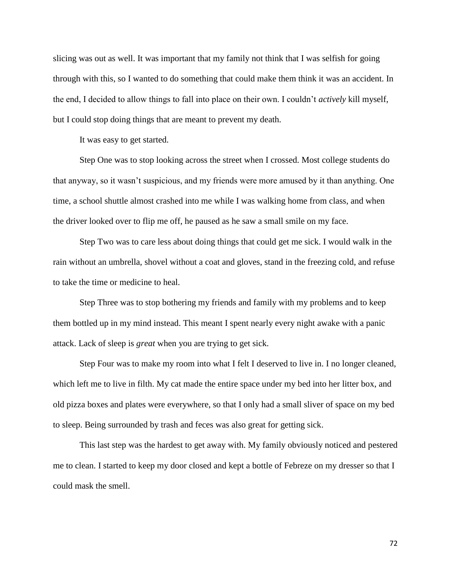slicing was out as well. It was important that my family not think that I was selfish for going through with this, so I wanted to do something that could make them think it was an accident. In the end, I decided to allow things to fall into place on their own. I couldn't *actively* kill myself, but I could stop doing things that are meant to prevent my death.

It was easy to get started.

Step One was to stop looking across the street when I crossed. Most college students do that anyway, so it wasn't suspicious, and my friends were more amused by it than anything. One time, a school shuttle almost crashed into me while I was walking home from class, and when the driver looked over to flip me off, he paused as he saw a small smile on my face.

Step Two was to care less about doing things that could get me sick. I would walk in the rain without an umbrella, shovel without a coat and gloves, stand in the freezing cold, and refuse to take the time or medicine to heal.

Step Three was to stop bothering my friends and family with my problems and to keep them bottled up in my mind instead. This meant I spent nearly every night awake with a panic attack. Lack of sleep is *great* when you are trying to get sick.

Step Four was to make my room into what I felt I deserved to live in. I no longer cleaned, which left me to live in filth. My cat made the entire space under my bed into her litter box, and old pizza boxes and plates were everywhere, so that I only had a small sliver of space on my bed to sleep. Being surrounded by trash and feces was also great for getting sick.

This last step was the hardest to get away with. My family obviously noticed and pestered me to clean. I started to keep my door closed and kept a bottle of Febreze on my dresser so that I could mask the smell.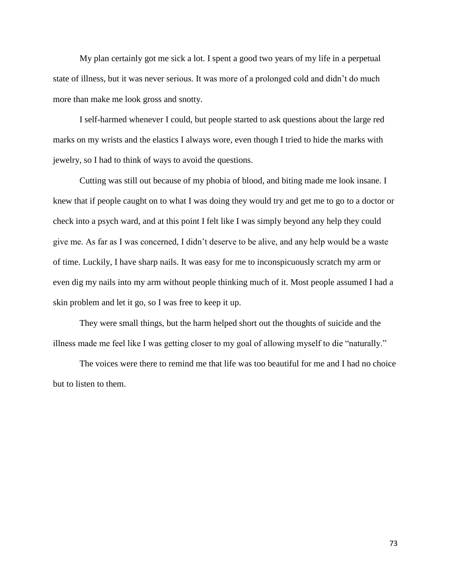My plan certainly got me sick a lot. I spent a good two years of my life in a perpetual state of illness, but it was never serious. It was more of a prolonged cold and didn't do much more than make me look gross and snotty.

I self-harmed whenever I could, but people started to ask questions about the large red marks on my wrists and the elastics I always wore, even though I tried to hide the marks with jewelry, so I had to think of ways to avoid the questions.

Cutting was still out because of my phobia of blood, and biting made me look insane. I knew that if people caught on to what I was doing they would try and get me to go to a doctor or check into a psych ward, and at this point I felt like I was simply beyond any help they could give me. As far as I was concerned, I didn't deserve to be alive, and any help would be a waste of time. Luckily, I have sharp nails. It was easy for me to inconspicuously scratch my arm or even dig my nails into my arm without people thinking much of it. Most people assumed I had a skin problem and let it go, so I was free to keep it up.

They were small things, but the harm helped short out the thoughts of suicide and the illness made me feel like I was getting closer to my goal of allowing myself to die "naturally."

The voices were there to remind me that life was too beautiful for me and I had no choice but to listen to them.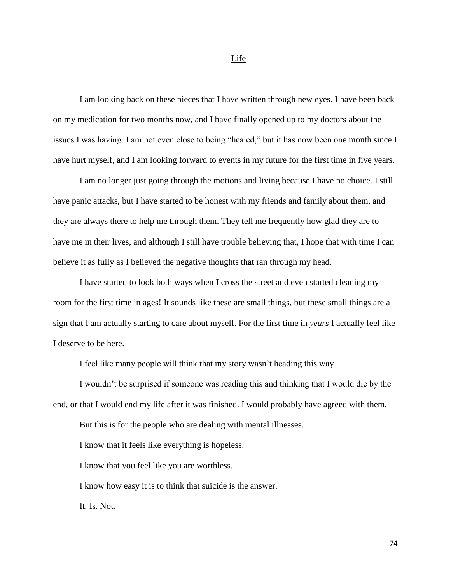I am looking back on these pieces that I have written through new eyes. I have been back on my medication for two months now, and I have finally opened up to my doctors about the issues I was having. I am not even close to being "healed," but it has now been one month since I have hurt myself, and I am looking forward to events in my future for the first time in five years.

I am no longer just going through the motions and living because I have no choice. I still have panic attacks, but I have started to be honest with my friends and family about them, and they are always there to help me through them. They tell me frequently how glad they are to have me in their lives, and although I still have trouble believing that, I hope that with time I can believe it as fully as I believed the negative thoughts that ran through my head.

I have started to look both ways when I cross the street and even started cleaning my room for the first time in ages! It sounds like these are small things, but these small things are a sign that I am actually starting to care about myself. For the first time in *years* I actually feel like I deserve to be here.

I feel like many people will think that my story wasn't heading this way.

I wouldn't be surprised if someone was reading this and thinking that I would die by the end, or that I would end my life after it was finished. I would probably have agreed with them.

But this is for the people who are dealing with mental illnesses.

I know that it feels like everything is hopeless.

I know that you feel like you are worthless.

I know how easy it is to think that suicide is the answer.

It. Is. Not.